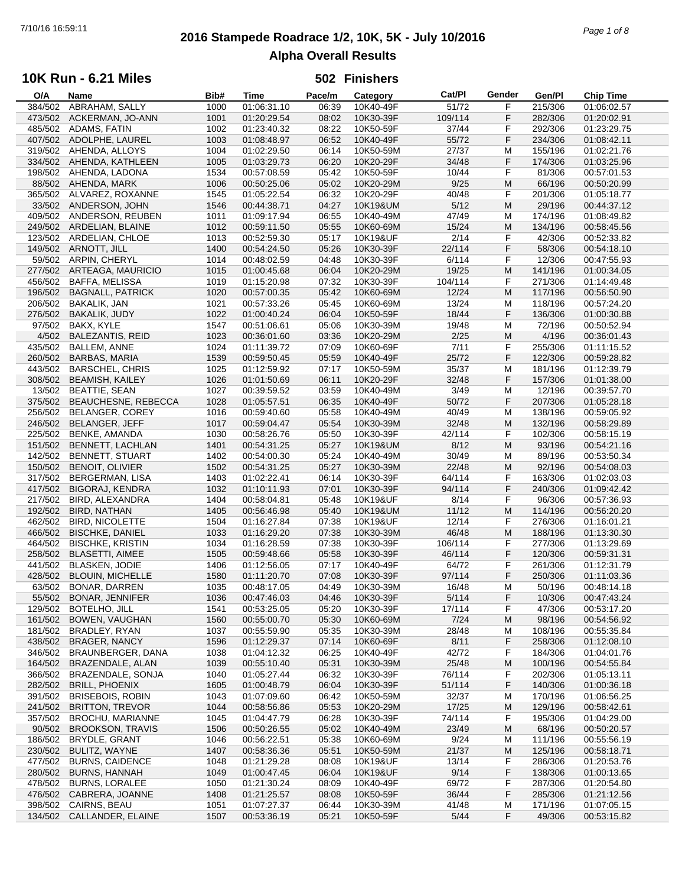# **2016 Stampede Roadrace 1/2, 10K, 5K - July 10/2016** 7/10/16 16:59:11 *Page 1 of 8* **Alpha Overall Results**

## **10K Run - 6.21 Miles**

| O/A     | Name                      | Bib# | Time        | Pace/m | Category  | Cat/PI  | Gender | Gen/Pl  | <b>Chip Time</b> |
|---------|---------------------------|------|-------------|--------|-----------|---------|--------|---------|------------------|
| 384/502 | ABRAHAM, SALLY            | 1000 | 01:06:31.10 | 06:39  | 10K40-49F | 51/72   | F      | 215/306 | 01:06:02.57      |
| 473/502 | ACKERMAN, JO-ANN          | 1001 | 01:20:29.54 | 08:02  | 10K30-39F | 109/114 | F      | 282/306 | 01:20:02.91      |
| 485/502 | ADAMS, FATIN              | 1002 | 01:23:40.32 | 08:22  | 10K50-59F | 37/44   | F      | 292/306 | 01:23:29.75      |
|         |                           |      |             |        |           |         | F      |         |                  |
| 407/502 | ADOLPHE, LAUREL           | 1003 | 01:08:48.97 | 06:52  | 10K40-49F | 55/72   |        | 234/306 | 01:08:42.11      |
|         | 319/502 AHENDA, ALLOYS    | 1004 | 01:02:29.50 | 06:14  | 10K50-59M | 27/37   | M      | 155/196 | 01:02:21.76      |
| 334/502 | AHENDA, KATHLEEN          | 1005 | 01:03:29.73 | 06:20  | 10K20-29F | 34/48   | F      | 174/306 | 01:03:25.96      |
| 198/502 | AHENDA, LADONA            | 1534 | 00:57:08.59 | 05:42  | 10K50-59F | 10/44   | F      | 81/306  | 00:57:01.53      |
| 88/502  | AHENDA, MARK              | 1006 | 00:50:25.06 | 05:02  | 10K20-29M | 9/25    | M      | 66/196  | 00:50:20.99      |
|         | 365/502 ALVAREZ, ROXANNE  | 1545 | 01:05:22.54 | 06:32  | 10K20-29F | 40/48   | F      | 201/306 | 01:05:18.77      |
|         | 33/502 ANDERSON, JOHN     | 1546 | 00:44:38.71 | 04:27  | 10K19&UM  | 5/12    | M      | 29/196  | 00:44:37.12      |
| 409/502 | ANDERSON, REUBEN          |      |             | 06:55  |           | 47/49   |        | 174/196 |                  |
|         |                           | 1011 | 01:09:17.94 |        | 10K40-49M |         | M      |         | 01:08:49.82      |
| 249/502 | ARDELIAN, BLAINE          | 1012 | 00:59:11.50 | 05:55  | 10K60-69M | 15/24   | M      | 134/196 | 00:58:45.56      |
|         | 123/502 ARDELIAN, CHLOE   | 1013 | 00:52:59.30 | 05:17  | 10K19&UF  | 2/14    | F      | 42/306  | 00:52:33.82      |
| 149/502 | ARNOTT, JILL              | 1400 | 00:54:24.50 | 05:26  | 10K30-39F | 22/114  | F      | 58/306  | 00:54:18.10      |
| 59/502  | ARPIN, CHERYL             | 1014 | 00:48:02.59 | 04:48  | 10K30-39F | 6/114   | F      | 12/306  | 00:47:55.93      |
| 277/502 | ARTEAGA, MAURICIO         | 1015 | 01:00:45.68 | 06:04  | 10K20-29M | 19/25   | M      | 141/196 | 01:00:34.05      |
| 456/502 | <b>BAFFA, MELISSA</b>     | 1019 | 01:15:20.98 | 07:32  | 10K30-39F | 104/114 | F      | 271/306 | 01:14:49.48      |
|         |                           |      |             |        |           | 12/24   | M      |         |                  |
| 196/502 | <b>BAGNALL, PATRICK</b>   | 1020 | 00:57:00.35 | 05:42  | 10K60-69M |         |        | 117/196 | 00:56:50.90      |
| 206/502 | <b>BAKALIK, JAN</b>       | 1021 | 00:57:33.26 | 05:45  | 10K60-69M | 13/24   | M      | 118/196 | 00:57:24.20      |
| 276/502 | <b>BAKALIK, JUDY</b>      | 1022 | 01:00:40.24 | 06:04  | 10K50-59F | 18/44   | F      | 136/306 | 01:00:30.88      |
| 97/502  | BAKX, KYLE                | 1547 | 00:51:06.61 | 05:06  | 10K30-39M | 19/48   | M      | 72/196  | 00:50:52.94      |
| 4/502   | <b>BALEZANTIS, REID</b>   | 1023 | 00:36:01.60 | 03:36  | 10K20-29M | 2/25    | M      | 4/196   | 00:36:01.43      |
| 435/502 | <b>BALLEM, ANNE</b>       | 1024 | 01:11:39.72 | 07:09  | 10K60-69F | 7/11    | F      | 255/306 | 01:11:15.52      |
| 260/502 | <b>BARBAS, MARIA</b>      | 1539 | 00:59:50.45 | 05:59  | 10K40-49F | 25/72   | F      | 122/306 | 00:59:28.82      |
|         |                           |      |             |        |           |         |        |         |                  |
| 443/502 | <b>BARSCHEL, CHRIS</b>    | 1025 | 01:12:59.92 | 07:17  | 10K50-59M | 35/37   | M      | 181/196 | 01:12:39.79      |
| 308/502 | <b>BEAMISH, KAILEY</b>    | 1026 | 01:01:50.69 | 06:11  | 10K20-29F | 32/48   | F      | 157/306 | 01:01:38.00      |
| 13/502  | <b>BEATTIE, SEAN</b>      | 1027 | 00:39:59.52 | 03:59  | 10K40-49M | 3/49    | M      | 12/196  | 00:39:57.70      |
| 375/502 | BEAUCHESNE, REBECCA       | 1028 | 01:05:57.51 | 06:35  | 10K40-49F | 50/72   | F      | 207/306 | 01:05:28.18      |
| 256/502 | BELANGER, COREY           | 1016 | 00:59:40.60 | 05:58  | 10K40-49M | 40/49   | M      | 138/196 | 00:59:05.92      |
| 246/502 | <b>BELANGER, JEFF</b>     | 1017 | 00:59:04.47 | 05:54  | 10K30-39M | 32/48   | M      | 132/196 | 00:58:29.89      |
| 225/502 | <b>BENKE, AMANDA</b>      | 1030 | 00:58:26.76 | 05:50  | 10K30-39F | 42/114  | F      | 102/306 |                  |
|         |                           |      |             |        |           |         |        |         | 00:58:15.19      |
| 151/502 | BENNETT, LACHLAN          | 1401 | 00:54:31.25 | 05:27  | 10K19&UM  | 8/12    | M      | 93/196  | 00:54:21.16      |
| 142/502 | <b>BENNETT, STUART</b>    | 1402 | 00:54:00.30 | 05:24  | 10K40-49M | 30/49   | M      | 89/196  | 00:53:50.34      |
| 150/502 | BENOIT, OLIVIER           | 1502 | 00:54:31.25 | 05:27  | 10K30-39M | 22/48   | M      | 92/196  | 00:54:08.03      |
| 317/502 | <b>BERGERMAN, LISA</b>    | 1403 | 01:02:22.41 | 06:14  | 10K30-39F | 64/114  | F      | 163/306 | 01:02:03.03      |
| 417/502 | <b>BIGORAJ, KENDRA</b>    | 1032 | 01:10:11.93 | 07:01  | 10K30-39F | 94/114  | F      | 240/306 | 01:09:42.42      |
| 217/502 | BIRD, ALEXANDRA           | 1404 | 00:58:04.81 | 05:48  | 10K19&UF  | 8/14    | F      | 96/306  | 00:57:36.93      |
| 192/502 | <b>BIRD, NATHAN</b>       | 1405 | 00:56:46.98 | 05:40  | 10K19&UM  | 11/12   | M      | 114/196 | 00:56:20.20      |
|         |                           |      |             |        |           |         |        |         |                  |
| 462/502 | <b>BIRD, NICOLETTE</b>    | 1504 | 01:16:27.84 | 07:38  | 10K19&UF  | 12/14   | F      | 276/306 | 01:16:01.21      |
| 466/502 | <b>BISCHKE, DANIEL</b>    | 1033 | 01:16:29.20 | 07:38  | 10K30-39M | 46/48   | M      | 188/196 | 01:13:30.30      |
| 464/502 | <b>BISCHKE, KRISTIN</b>   | 1034 | 01:16:28.59 | 07:38  | 10K30-39F | 106/114 | F      | 277/306 | 01:13:29.69      |
| 258/502 | <b>BLASETTI, AIMEE</b>    | 1505 | 00:59:48.66 | 05:58  | 10K30-39F | 46/114  | F      | 120/306 | 00:59:31.31      |
| 441/502 | <b>BLASKEN, JODIE</b>     | 1406 | 01:12:56.05 | 07:17  | 10K40-49F | 64/72   | F      | 261/306 | 01:12:31.79      |
| 428/502 | <b>BLOUIN, MICHELLE</b>   | 1580 | 01:11:20.70 | 07:08  | 10K30-39F | 97/114  | F      | 250/306 | 01:11:03.36      |
| 63/502  | <b>BONAR, DARREN</b>      | 1035 | 00:48:17.05 | 04:49  | 10K30-39M | 16/48   | M      | 50/196  | 00:48:14.18      |
|         | <b>BONAR, JENNIFER</b>    |      |             |        |           |         |        | 10/306  |                  |
| 55/502  |                           | 1036 | 00:47:46.03 | 04:46  | 10K30-39F | 5/114   | F      |         | 00:47:43.24      |
| 129/502 | BOTELHO, JILL             | 1541 | 00:53:25.05 | 05:20  | 10K30-39F | 17/114  | F      | 47/306  | 00:53:17.20      |
| 161/502 | BOWEN, VAUGHAN            | 1560 | 00:55:00.70 | 05:30  | 10K60-69M | 7/24    | M      | 98/196  | 00:54:56.92      |
| 181/502 | BRADLEY, RYAN             | 1037 | 00:55:59.90 | 05:35  | 10K30-39M | 28/48   | M      | 108/196 | 00:55:35.84      |
| 438/502 | <b>BRAGER, NANCY</b>      | 1596 | 01:12:29.37 | 07:14  | 10K60-69F | 8/11    | F      | 258/306 | 01:12:08.10      |
| 346/502 | BRAUNBERGER, DANA         | 1038 | 01:04:12.32 | 06:25  | 10K40-49F | 42/72   | F      | 184/306 | 01:04:01.76      |
| 164/502 | BRAZENDALE, ALAN          | 1039 | 00:55:10.40 | 05:31  | 10K30-39M | 25/48   | M      | 100/196 | 00:54:55.84      |
| 366/502 | BRAZENDALE, SONJA         | 1040 | 01:05:27.44 | 06:32  | 10K30-39F | 76/114  | F      | 202/306 | 01:05:13.11      |
|         |                           |      |             |        |           |         |        |         | 01:00:36.18      |
| 282/502 | <b>BRILL, PHOENIX</b>     | 1605 | 01:00:48.79 | 06:04  | 10K30-39F | 51/114  | F      | 140/306 |                  |
| 391/502 | <b>BRISEBOIS, ROBIN</b>   | 1043 | 01:07:09.60 | 06:42  | 10K50-59M | 32/37   | M      | 170/196 | 01:06:56.25      |
| 241/502 | <b>BRITTON, TREVOR</b>    | 1044 | 00:58:56.86 | 05:53  | 10K20-29M | 17/25   | M      | 129/196 | 00:58:42.61      |
| 357/502 | <b>BROCHU, MARIANNE</b>   | 1045 | 01:04:47.79 | 06:28  | 10K30-39F | 74/114  | F      | 195/306 | 01:04:29.00      |
| 90/502  | <b>BROOKSON, TRAVIS</b>   | 1506 | 00:50:26.55 | 05:02  | 10K40-49M | 23/49   | M      | 68/196  | 00:50:20.57      |
| 186/502 | BRYDLE, GRANT             | 1046 | 00:56:22.51 | 05:38  | 10K60-69M | 9/24    | M      | 111/196 | 00:55:56.19      |
| 230/502 | BULITZ, WAYNE             | 1407 | 00:58:36.36 | 05:51  | 10K50-59M | 21/37   | M      | 125/196 | 00:58:18.71      |
|         |                           |      |             |        |           |         |        |         |                  |
| 477/502 | <b>BURNS, CAIDENCE</b>    | 1048 | 01:21:29.28 | 08:08  | 10K19&UF  | 13/14   | F      | 286/306 | 01:20:53.76      |
| 280/502 | <b>BURNS, HANNAH</b>      | 1049 | 01:00:47.45 | 06:04  | 10K19&UF  | 9/14    | F      | 138/306 | 01:00:13.65      |
| 478/502 | <b>BURNS, LORALEE</b>     | 1050 | 01:21:30.24 | 08:09  | 10K40-49F | 69/72   | F      | 287/306 | 01:20:54.80      |
| 476/502 | CABRERA, JOANNE           | 1408 | 01:21:25.57 | 08:08  | 10K50-59F | 36/44   | F      | 285/306 | 01:21:12.56      |
|         | 398/502 CAIRNS, BEAU      | 1051 | 01:07:27.37 | 06:44  | 10K30-39M | 41/48   | M      | 171/196 | 01:07:05.15      |
|         | 134/502 CALLANDER, ELAINE | 1507 | 00:53:36.19 | 05:21  | 10K50-59F | 5/44    | F      | 49/306  | 00:53:15.82      |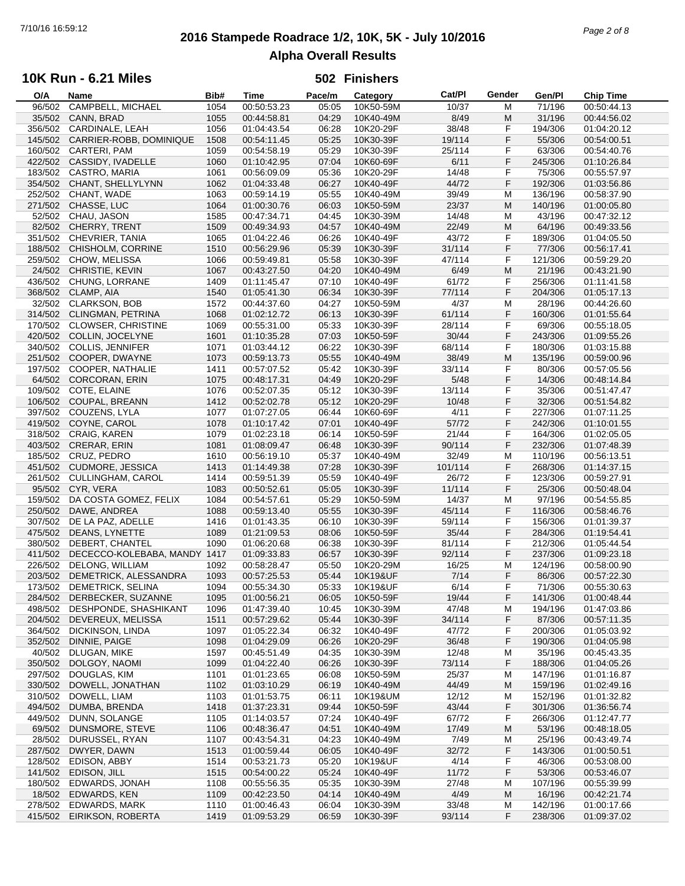# **2016 Stampede Roadrace 1/2, 10K, 5K - July 10/2016** 7/10/16 16:59:12 *Page 2 of 8* **Alpha Overall Results**

## **10K Run - 6.21 Miles**

| O/A     | Name                         | Bib# | Time        | Pace/m | Category  | Cat/PI  | Gender | Gen/Pl  | <b>Chip Time</b> |
|---------|------------------------------|------|-------------|--------|-----------|---------|--------|---------|------------------|
| 96/502  | CAMPBELL, MICHAEL            | 1054 | 00:50:53.23 | 05:05  | 10K50-59M | 10/37   | M      | 71/196  | 00:50:44.13      |
| 35/502  | CANN, BRAD                   | 1055 | 00:44:58.81 | 04:29  | 10K40-49M | 8/49    | M      | 31/196  | 00:44:56.02      |
| 356/502 | CARDINALE, LEAH              | 1056 | 01:04:43.54 | 06:28  | 10K20-29F | 38/48   | F      | 194/306 | 01:04:20.12      |
| 145/502 | CARRIER-ROBB, DOMINIQUE      | 1508 | 00:54:11.45 | 05:25  | 10K30-39F | 19/114  | F      | 55/306  | 00:54:00.51      |
|         | 160/502 CARTERI, PAM         | 1059 | 00:54:58.19 | 05:29  |           |         | F      |         |                  |
|         |                              |      |             |        | 10K30-39F | 25/114  |        | 63/306  | 00:54:40.76      |
| 422/502 | CASSIDY, IVADELLE            | 1060 | 01:10:42.95 | 07:04  | 10K60-69F | 6/11    | F      | 245/306 | 01:10:26.84      |
| 183/502 | CASTRO, MARIA                | 1061 | 00:56:09.09 | 05:36  | 10K20-29F | 14/48   | F      | 75/306  | 00:55:57.97      |
| 354/502 | CHANT, SHELLYLYNN            | 1062 | 01:04:33.48 | 06:27  | 10K40-49F | 44/72   | F      | 192/306 | 01:03:56.86      |
| 252/502 | CHANT, WADE                  | 1063 | 00:59:14.19 | 05:55  | 10K40-49M | 39/49   | M      | 136/196 | 00:58:37.90      |
| 271/502 | CHASSE, LUC                  | 1064 | 01:00:30.76 | 06:03  | 10K50-59M | 23/37   | M      | 140/196 | 01:00:05.80      |
| 52/502  | CHAU, JASON                  | 1585 | 00:47:34.71 | 04:45  | 10K30-39M | 14/48   | M      | 43/196  | 00:47:32.12      |
| 82/502  | CHERRY, TRENT                | 1509 | 00:49:34.93 | 04:57  | 10K40-49M | 22/49   | M      | 64/196  | 00:49:33.56      |
|         |                              |      |             |        |           |         | F      |         |                  |
|         | 351/502 CHEVRIER, TANIA      | 1065 | 01:04:22.46 | 06:26  | 10K40-49F | 43/72   |        | 189/306 | 01:04:05.50      |
| 188/502 | CHISHOLM, CORRINE            | 1510 | 00:56:29.96 | 05:39  | 10K30-39F | 31/114  | F      | 77/306  | 00:56:17.41      |
| 259/502 | CHOW, MELISSA                | 1066 | 00:59:49.81 | 05:58  | 10K30-39F | 47/114  | F      | 121/306 | 00:59:29.20      |
| 24/502  | CHRISTIE, KEVIN              | 1067 | 00:43:27.50 | 04:20  | 10K40-49M | 6/49    | M      | 21/196  | 00:43:21.90      |
| 436/502 | CHUNG, LORRANE               | 1409 | 01:11:45.47 | 07:10  | 10K40-49F | 61/72   | F      | 256/306 | 01:11:41.58      |
| 368/502 | CLAMP, AIA                   | 1540 | 01:05:41.30 | 06:34  | 10K30-39F | 77/114  | F      | 204/306 | 01:05:17.13      |
| 32/502  | <b>CLARKSON, BOB</b>         | 1572 | 00:44:37.60 | 04:27  | 10K50-59M | 4/37    | M      | 28/196  | 00:44:26.60      |
| 314/502 | <b>CLINGMAN, PETRINA</b>     | 1068 | 01:02:12.72 | 06:13  | 10K30-39F | 61/114  | F      | 160/306 | 01:01:55.64      |
|         | <b>CLOWSER, CHRISTINE</b>    |      |             |        | 10K30-39F |         | F      |         | 00:55:18.05      |
| 170/502 |                              | 1069 | 00:55:31.00 | 05:33  |           | 28/114  |        | 69/306  |                  |
| 420/502 | COLLIN, JOCELYNE             | 1601 | 01:10:35.28 | 07:03  | 10K50-59F | 30/44   | F      | 243/306 | 01:09:55.26      |
| 340/502 | <b>COLLIS, JENNIFER</b>      | 1071 | 01:03:44.12 | 06:22  | 10K30-39F | 68/114  | F      | 180/306 | 01:03:15.88      |
| 251/502 | COOPER, DWAYNE               | 1073 | 00:59:13.73 | 05:55  | 10K40-49M | 38/49   | M      | 135/196 | 00:59:00.96      |
|         | 197/502 COOPER, NATHALIE     | 1411 | 00:57:07.52 | 05:42  | 10K30-39F | 33/114  | F      | 80/306  | 00:57:05.56      |
| 64/502  | <b>CORCORAN, ERIN</b>        | 1075 | 00:48:17.31 | 04:49  | 10K20-29F | 5/48    | F      | 14/306  | 00:48:14.84      |
| 109/502 | COTE, ELAINE                 | 1076 | 00:52:07.35 | 05:12  | 10K30-39F | 13/114  | F      | 35/306  | 00:51:47.47      |
| 106/502 | COUPAL, BREANN               | 1412 | 00:52:02.78 | 05:12  | 10K20-29F | 10/48   | F      | 32/306  | 00:51:54.82      |
|         |                              |      |             |        |           |         |        |         |                  |
|         | 397/502 COUZENS, LYLA        | 1077 | 01:07:27.05 | 06:44  | 10K60-69F | 4/11    | F      | 227/306 | 01:07:11.25      |
| 419/502 | COYNE, CAROL                 | 1078 | 01:10:17.42 | 07:01  | 10K40-49F | 57/72   | F      | 242/306 | 01:10:01.55      |
| 318/502 | CRAIG, KAREN                 | 1079 | 01:02:23.18 | 06:14  | 10K50-59F | 21/44   | F      | 164/306 | 01:02:05.05      |
| 403/502 | <b>CRERAR, ERIN</b>          | 1081 | 01:08:09.47 | 06:48  | 10K30-39F | 90/114  | F      | 232/306 | 01:07:48.39      |
|         | 185/502 CRUZ, PEDRO          | 1610 | 00:56:19.10 | 05:37  | 10K40-49M | 32/49   | M      | 110/196 | 00:56:13.51      |
| 451/502 | <b>CUDMORE, JESSICA</b>      | 1413 | 01:14:49.38 | 07:28  | 10K30-39F | 101/114 | F      | 268/306 | 01:14:37.15      |
| 261/502 | CULLINGHAM, CAROL            | 1414 | 00:59:51.39 | 05:59  | 10K40-49F | 26/72   | F      | 123/306 | 00:59:27.91      |
| 95/502  | CYR, VERA                    | 1083 | 00:50:52.61 | 05:05  | 10K30-39F | 11/114  | F      | 25/306  | 00:50:48.04      |
|         |                              |      |             |        |           |         |        |         |                  |
| 159/502 | DA COSTA GOMEZ, FELIX        | 1084 | 00:54:57.61 | 05:29  | 10K50-59M | 14/37   | M      | 97/196  | 00:54:55.85      |
| 250/502 | DAWE, ANDREA                 | 1088 | 00:59:13.40 | 05:55  | 10K30-39F | 45/114  | F      | 116/306 | 00:58:46.76      |
| 307/502 | DE LA PAZ, ADELLE            | 1416 | 01:01:43.35 | 06:10  | 10K30-39F | 59/114  | F      | 156/306 | 01:01:39.37      |
| 475/502 | DEANS, LYNETTE               | 1089 | 01:21:09.53 | 08:06  | 10K50-59F | 35/44   | F      | 284/306 | 01:19:54.41      |
| 380/502 | DEBERT, CHANTEL              | 1090 | 01:06:20.68 | 06:38  | 10K30-39F | 81/114  | F      | 212/306 | 01:05:44.54      |
| 411/502 | DECECCO-KOLEBABA, MANDY 1417 |      | 01:09:33.83 | 06:57  | 10K30-39F | 92/114  | F      | 237/306 | 01:09:23.18      |
| 226/502 | <b>DELONG, WILLIAM</b>       | 1092 | 00:58:28.47 | 05:50  | 10K20-29M | 16/25   | M      | 124/196 | 00:58:00.90      |
| 203/502 | DEMETRICK, ALESSANDRA        | 1093 | 00:57:25.53 | 05:44  | 10K19&UF  | 7/14    | F      | 86/306  | 00:57:22.30      |
|         | 173/502 DEMETRICK, SELINA    | 1094 | 00:55:34.30 | 05:33  | 10K19&UF  | 6/14    | F      | 71/306  | 00:55:30.63      |
|         |                              |      |             |        |           |         |        |         |                  |
| 284/502 | DERBECKER, SUZANNE           | 1095 | 01:00:56.21 | 06:05  | 10K50-59F | 19/44   | F      | 141/306 | 01:00:48.44      |
| 498/502 | DESHPONDE, SHASHIKANT        | 1096 | 01:47:39.40 | 10:45  | 10K30-39M | 47/48   | M      | 194/196 | 01:47:03.86      |
| 204/502 | DEVEREUX, MELISSA            | 1511 | 00:57:29.62 | 05:44  | 10K30-39F | 34/114  | F      | 87/306  | 00:57:11.35      |
| 364/502 | DICKINSON, LINDA             | 1097 | 01:05:22.34 | 06:32  | 10K40-49F | 47/72   | F      | 200/306 | 01:05:03.92      |
| 352/502 | DINNIE, PAIGE                | 1098 | 01:04:29.09 | 06:26  | 10K20-29F | 36/48   | F      | 190/306 | 01:04:05.98      |
| 40/502  | DLUGAN, MIKE                 | 1597 | 00:45:51.49 | 04:35  | 10K30-39M | 12/48   | M      | 35/196  | 00:45:43.35      |
| 350/502 | DOLGOY, NAOMI                | 1099 | 01:04:22.40 | 06:26  | 10K30-39F | 73/114  | F      | 188/306 | 01:04:05.26      |
| 297/502 | DOUGLAS, KIM                 | 1101 | 01:01:23.65 | 06:08  | 10K50-59M | 25/37   | M      | 147/196 | 01:01:16.87      |
|         |                              |      |             |        |           |         |        |         |                  |
| 330/502 | DOWELL, JONATHAN             | 1102 | 01:03:10.29 | 06:19  | 10K40-49M | 44/49   | M      | 159/196 | 01:02:49.16      |
| 310/502 | DOWELL, LIAM                 | 1103 | 01:01:53.75 | 06:11  | 10K19&UM  | 12/12   | M      | 152/196 | 01:01:32.82      |
| 494/502 | DUMBA, BRENDA                | 1418 | 01:37:23.31 | 09:44  | 10K50-59F | 43/44   | F      | 301/306 | 01:36:56.74      |
| 449/502 | DUNN, SOLANGE                | 1105 | 01:14:03.57 | 07:24  | 10K40-49F | 67/72   | F      | 266/306 | 01:12:47.77      |
| 69/502  | DUNSMORE, STEVE              | 1106 | 00:48:36.47 | 04:51  | 10K40-49M | 17/49   | M      | 53/196  | 00:48:18.05      |
| 28/502  | DURUSSEL, RYAN               | 1107 | 00:43:54.31 | 04:23  | 10K40-49M | 7/49    | M      | 25/196  | 00:43:49.74      |
| 287/502 | DWYER, DAWN                  | 1513 | 01:00:59.44 | 06:05  | 10K40-49F | 32/72   | F      | 143/306 | 01:00:50.51      |
| 128/502 | EDISON, ABBY                 | 1514 | 00:53:21.73 | 05:20  | 10K19&UF  | 4/14    | F      | 46/306  | 00:53:08.00      |
|         |                              |      |             |        |           |         |        |         |                  |
| 141/502 | EDISON, JILL                 | 1515 | 00:54:00.22 | 05:24  | 10K40-49F | 11/72   | F      | 53/306  | 00:53:46.07      |
| 180/502 | EDWARDS, JONAH               | 1108 | 00:55:56.35 | 05:35  | 10K30-39M | 27/48   | M      | 107/196 | 00:55:39.99      |
| 18/502  | EDWARDS, KEN                 | 1109 | 00:42:23.50 | 04:14  | 10K40-49M | 4/49    | M      | 16/196  | 00:42:21.74      |
| 278/502 | <b>EDWARDS, MARK</b>         | 1110 | 01:00:46.43 | 06:04  | 10K30-39M | 33/48   | M      | 142/196 | 01:00:17.66      |
|         | 415/502 EIRIKSON, ROBERTA    | 1419 | 01:09:53.29 | 06:59  | 10K30-39F | 93/114  | F      | 238/306 | 01:09:37.02      |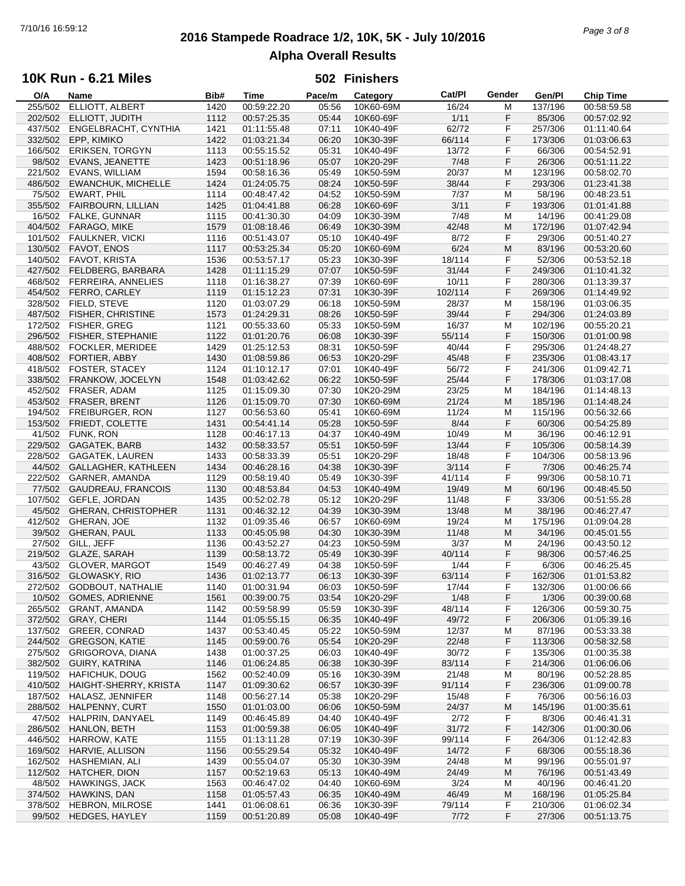# **2016 Stampede Roadrace 1/2, 10K, 5K - July 10/2016** 7/10/16 16:59:12 *Page 3 of 8* **Alpha Overall Results**

## **10K Run - 6.21 Miles**

| O/A     | Name                       | Bib# | <b>Time</b> | Pace/m | Category  | Cat/PI  | Gender | Gen/Pl  | <b>Chip Time</b> |
|---------|----------------------------|------|-------------|--------|-----------|---------|--------|---------|------------------|
| 255/502 | ELLIOTT, ALBERT            | 1420 | 00:59:22.20 | 05:56  | 10K60-69M | 16/24   | м      | 137/196 | 00:58:59.58      |
| 202/502 | ELLIOTT, JUDITH            | 1112 | 00:57:25.35 | 05:44  | 10K60-69F | 1/11    | F      | 85/306  | 00:57:02.92      |
| 437/502 | ENGELBRACHT, CYNTHIA       | 1421 | 01:11:55.48 | 07:11  | 10K40-49F | 62/72   | F      | 257/306 | 01:11:40.64      |
| 332/502 | EPP, KIMIKO                | 1422 | 01:03:21.34 | 06:20  | 10K30-39F | 66/114  | F      | 173/306 | 01:03:06.63      |
|         |                            |      |             |        |           |         |        |         |                  |
| 166/502 | <b>ERIKSEN, TORGYN</b>     | 1113 | 00:55:15.52 | 05:31  | 10K40-49F | 13/72   | F      | 66/306  | 00:54:52.91      |
| 98/502  | EVANS, JEANETTE            | 1423 | 00:51:18.96 | 05:07  | 10K20-29F | 7/48    | F      | 26/306  | 00:51:11.22      |
| 221/502 | EVANS, WILLIAM             | 1594 | 00:58:16.36 | 05:49  | 10K50-59M | 20/37   | М      | 123/196 | 00:58:02.70      |
| 486/502 | <b>EWANCHUK, MICHELLE</b>  | 1424 | 01:24:05.75 | 08:24  | 10K50-59F | 38/44   | F      | 293/306 | 01:23:41.38      |
| 75/502  | EWART, PHIL                | 1114 | 00:48:47.42 | 04:52  | 10K50-59M | 7/37    | М      | 58/196  | 00:48:23.51      |
| 355/502 | FAIRBOURN, LILLIAN         | 1425 | 01:04:41.88 | 06:28  | 10K60-69F | 3/11    | F      | 193/306 | 01:01:41.88      |
| 16/502  | FALKE, GUNNAR              | 1115 | 00:41:30.30 | 04:09  | 10K30-39M | 7/48    | М      | 14/196  | 00:41:29.08      |
|         |                            |      |             |        |           |         |        |         |                  |
| 404/502 | FARAGO, MIKE               | 1579 | 01:08:18.46 | 06:49  | 10K30-39M | 42/48   | M      | 172/196 | 01:07:42.94      |
| 101/502 | <b>FAULKNER, VICKI</b>     | 1116 | 00:51:43.07 | 05:10  | 10K40-49F | 8/72    | F      | 29/306  | 00:51:40.27      |
| 130/502 | FAVOT, ENOS                | 1117 | 00:53:25.34 | 05:20  | 10K60-69M | 6/24    | M      | 83/196  | 00:53:20.60      |
| 140/502 | FAVOT, KRISTA              | 1536 | 00:53:57.17 | 05:23  | 10K30-39F | 18/114  | F      | 52/306  | 00:53:52.18      |
| 427/502 | FELDBERG, BARBARA          | 1428 | 01:11:15.29 | 07:07  | 10K50-59F | 31/44   | F      | 249/306 | 01:10:41.32      |
| 468/502 | <b>FERREIRA, ANNELIES</b>  | 1118 | 01:16:38.27 | 07:39  | 10K60-69F | 10/11   | F      | 280/306 | 01:13:39.37      |
| 454/502 | FERRO, CARLEY              | 1119 | 01:15:12.23 | 07:31  | 10K30-39F | 102/114 | F      | 269/306 | 01:14:49.92      |
|         |                            |      |             |        |           |         |        |         |                  |
| 328/502 | FIELD, STEVE               | 1120 | 01:03:07.29 | 06:18  | 10K50-59M | 28/37   | М      | 158/196 | 01:03:06.35      |
| 487/502 | <b>FISHER, CHRISTINE</b>   | 1573 | 01:24:29.31 | 08:26  | 10K50-59F | 39/44   | F      | 294/306 | 01:24:03.89      |
| 172/502 | FISHER, GREG               | 1121 | 00:55:33.60 | 05:33  | 10K50-59M | 16/37   | М      | 102/196 | 00:55:20.21      |
| 296/502 | FISHER, STEPHANIE          | 1122 | 01:01:20.76 | 06:08  | 10K30-39F | 55/114  | F      | 150/306 | 01:01:00.98      |
| 488/502 | <b>FOCKLER, MERIDEE</b>    | 1429 | 01:25:12.53 | 08:31  | 10K50-59F | 40/44   | F      | 295/306 | 01:24:48.27      |
| 408/502 | FORTIER, ABBY              | 1430 | 01:08:59.86 | 06:53  | 10K20-29F | 45/48   | F      | 235/306 | 01:08:43.17      |
| 418/502 | FOSTER, STACEY             | 1124 | 01:10:12.17 | 07:01  | 10K40-49F | 56/72   | F      | 241/306 | 01:09:42.71      |
|         |                            |      |             |        |           |         |        |         |                  |
| 338/502 | FRANKOW, JOCELYN           | 1548 | 01:03:42.62 | 06:22  | 10K50-59F | 25/44   | F      | 178/306 | 01:03:17.08      |
| 452/502 | FRASER, ADAM               | 1125 | 01:15:09.30 | 07:30  | 10K20-29M | 23/25   | М      | 184/196 | 01:14:48.13      |
| 453/502 | FRASER, BRENT              | 1126 | 01:15:09.70 | 07:30  | 10K60-69M | 21/24   | M      | 185/196 | 01:14:48.24      |
| 194/502 | FREIBURGER, RON            | 1127 | 00:56:53.60 | 05:41  | 10K60-69M | 11/24   | М      | 115/196 | 00:56:32.66      |
| 153/502 | FRIEDT, COLETTE            | 1431 | 00:54:41.14 | 05:28  | 10K50-59F | 8/44    | F      | 60/306  | 00:54:25.89      |
| 41/502  | FUNK, RON                  | 1128 | 00:46:17.13 | 04:37  | 10K40-49M | 10/49   | M      | 36/196  | 00:46:12.91      |
| 229/502 | GAGATEK, BARB              | 1432 | 00:58:33.57 | 05:51  | 10K50-59F | 13/44   | F      | 105/306 | 00:58:14.39      |
|         |                            |      |             |        |           |         |        |         |                  |
| 228/502 | <b>GAGATEK, LAUREN</b>     | 1433 | 00:58:33.39 | 05:51  | 10K20-29F | 18/48   | F      | 104/306 | 00:58:13.96      |
| 44/502  | GALLAGHER, KATHLEEN        | 1434 | 00:46:28.16 | 04:38  | 10K30-39F | 3/114   | F      | 7/306   | 00:46:25.74      |
| 222/502 | GARNER, AMANDA             | 1129 | 00:58:19.40 | 05:49  | 10K30-39F | 41/114  | F      | 99/306  | 00:58:10.71      |
| 77/502  | GAUDREAU, FRANCOIS         | 1130 | 00:48:53.84 | 04:53  | 10K40-49M | 19/49   | M      | 60/196  | 00:48:45.50      |
|         | 107/502 GEFLE, JORDAN      | 1435 | 00:52:02.78 | 05:12  | 10K20-29F | 11/48   | F      | 33/306  | 00:51:55.28      |
| 45/502  | <b>GHERAN, CHRISTOPHER</b> | 1131 | 00:46:32.12 | 04:39  | 10K30-39M | 13/48   | M      | 38/196  | 00:46:27.47      |
| 412/502 | GHERAN, JOE                | 1132 | 01:09:35.46 | 06:57  | 10K60-69M | 19/24   | M      | 175/196 | 01:09:04.28      |
| 39/502  | GHERAN, PAUL               | 1133 | 00:45:05.98 | 04:30  |           | 11/48   | M      | 34/196  |                  |
|         |                            |      |             |        | 10K30-39M |         |        |         | 00:45:01.55      |
| 27/502  | GILL, JEFF                 | 1136 | 00:43:52.27 | 04:23  | 10K50-59M | 3/37    | М      | 24/196  | 00:43:50.12      |
| 219/502 | GLAZE, SARAH               | 1139 | 00:58:13.72 | 05:49  | 10K30-39F | 40/114  | F      | 98/306  | 00:57:46.25      |
| 43/502  | <b>GLOVER, MARGOT</b>      | 1549 | 00:46:27.49 | 04:38  | 10K50-59F | 1/44    | F      | 6/306   | 00:46:25.45      |
| 316/502 | GLOWASKY, RIO              | 1436 | 01:02:13.77 | 06:13  | 10K30-39F | 63/114  | F      | 162/306 | 01:01:53.82      |
|         | 272/502 GODBOUT, NATHALIE  | 1140 | 01:00:31.94 | 06:03  | 10K50-59F | 17/44   | F      | 132/306 | 01:00:06.66      |
| 10/502  | GOMES, ADRIENNE            | 1561 | 00:39:00.75 | 03:54  | 10K20-29F | 1/48    | F      | 1/306   | 00:39:00.68      |
| 265/502 | <b>GRANT, AMANDA</b>       | 1142 | 00:59:58.99 | 05:59  | 10K30-39F | 48/114  | F      | 126/306 | 00:59:30.75      |
| 372/502 | <b>GRAY, CHERI</b>         | 1144 |             |        | 10K40-49F | 49/72   | F      |         |                  |
|         |                            |      | 01:05:55.15 | 06:35  |           |         |        | 206/306 | 01:05:39.16      |
| 137/502 | GREER, CONRAD              | 1437 | 00:53:40.45 | 05:22  | 10K50-59M | 12/37   | м      | 87/196  | 00:53:33.38      |
| 244/502 | <b>GREGSON, KATIE</b>      | 1145 | 00:59:00.76 | 05:54  | 10K20-29F | 22/48   | F      | 113/306 | 00:58:32.58      |
| 275/502 | GRIGOROVA, DIANA           | 1438 | 01:00:37.25 | 06:03  | 10K40-49F | 30/72   | F      | 135/306 | 01:00:35.38      |
| 382/502 | GUIRY, KATRINA             | 1146 | 01:06:24.85 | 06:38  | 10K30-39F | 83/114  | F      | 214/306 | 01:06:06.06      |
| 119/502 | <b>HAFICHUK, DOUG</b>      | 1562 | 00:52:40.09 | 05:16  | 10K30-39M | 21/48   | M      | 80/196  | 00:52:28.85      |
| 410/502 | HAIGHT-SHERRY, KRISTA      | 1147 | 01:09:30.62 | 06:57  | 10K30-39F | 91/114  | F      | 236/306 | 01:09:00.78      |
| 187/502 | HALASZ, JENNIFER           | 1148 | 00:56:27.14 | 05:38  | 10K20-29F | 15/48   | F      | 76/306  |                  |
|         |                            |      |             |        |           |         |        |         | 00:56:16.03      |
| 288/502 | HALPENNY, CURT             | 1550 | 01:01:03.00 | 06:06  | 10K50-59M | 24/37   | M      | 145/196 | 01:00:35.61      |
| 47/502  | HALPRIN, DANYAEL           | 1149 | 00:46:45.89 | 04:40  | 10K40-49F | 2/72    | F      | 8/306   | 00:46:41.31      |
| 286/502 | HANLON, BETH               | 1153 | 01:00:59.38 | 06:05  | 10K40-49F | 31/72   | F      | 142/306 | 01:00:30.06      |
| 446/502 | <b>HARROW, KATE</b>        | 1155 | 01:13:11.28 | 07:19  | 10K30-39F | 99/114  | F      | 264/306 | 01:12:42.83      |
| 169/502 | HARVIE, ALLISON            | 1156 | 00:55:29.54 | 05:32  | 10K40-49F | 14/72   | F      | 68/306  | 00:55:18.36      |
| 162/502 | HASHEMIAN, ALI             | 1439 | 00:55:04.07 | 05:30  | 10K30-39M | 24/48   | M      | 99/196  | 00:55:01.97      |
| 112/502 | HATCHER, DION              |      | 00:52:19.63 | 05:13  | 10K40-49M | 24/49   | M      | 76/196  | 00:51:43.49      |
|         |                            | 1157 |             |        |           |         |        |         |                  |
| 48/502  | <b>HAWKINGS, JACK</b>      | 1563 | 00:46:47.02 | 04:40  | 10K60-69M | 3/24    | M      | 40/196  | 00:46:41.20      |
| 374/502 | HAWKINS, DAN               | 1158 | 01:05:57.43 | 06:35  | 10K40-49M | 46/49   | M      | 168/196 | 01:05:25.84      |
| 378/502 | <b>HEBRON, MILROSE</b>     | 1441 | 01:06:08.61 | 06:36  | 10K30-39F | 79/114  | F      | 210/306 | 01:06:02.34      |
| 99/502  | HEDGES, HAYLEY             | 1159 | 00:51:20.89 | 05:08  | 10K40-49F | 7/72    | F      | 27/306  | 00:51:13.75      |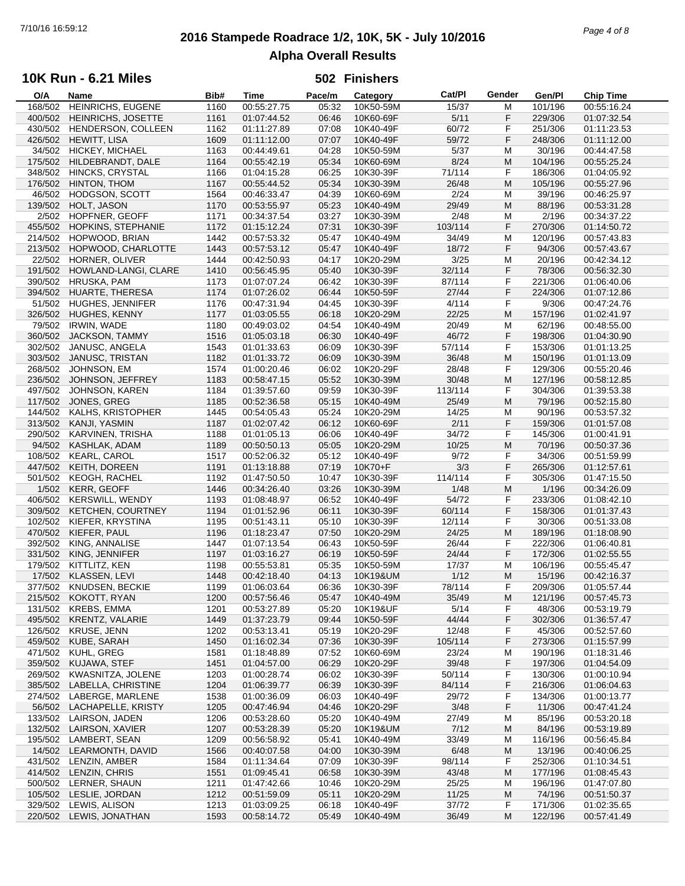# **2016 Stampede Roadrace 1/2, 10K, 5K - July 10/2016** 7/10/16 16:59:12 *Page 4 of 8* **Alpha Overall Results**

## **10K Run - 6.21 Miles**

| O/A     | Name                     | Bib# | Time        | Pace/m | Category  | Cat/PI  | Gender | Gen/Pl  | <b>Chip Time</b> |
|---------|--------------------------|------|-------------|--------|-----------|---------|--------|---------|------------------|
| 168/502 | HEINRICHS, EUGENE        | 1160 | 00:55:27.75 | 05:32  | 10K50-59M | 15/37   | M      | 101/196 | 00:55:16.24      |
| 400/502 | HEINRICHS, JOSETTE       | 1161 | 01:07:44.52 | 06:46  | 10K60-69F | 5/11    | F      | 229/306 | 01:07:32.54      |
| 430/502 | HENDERSON, COLLEEN       | 1162 | 01:11:27.89 | 07:08  | 10K40-49F | 60/72   | F      | 251/306 | 01:11:23.53      |
|         |                          |      |             |        |           |         |        |         |                  |
| 426/502 | <b>HEWITT, LISA</b>      | 1609 | 01:11:12.00 | 07:07  | 10K40-49F | 59/72   | F      | 248/306 | 01:11:12.00      |
| 34/502  | HICKEY, MICHAEL          | 1163 | 00:44:49.61 | 04:28  | 10K50-59M | 5/37    | M      | 30/196  | 00:44:47.58      |
| 175/502 | HILDEBRANDT, DALE        | 1164 | 00:55:42.19 | 05:34  | 10K60-69M | 8/24    | M      | 104/196 | 00:55:25.24      |
| 348/502 | HINCKS, CRYSTAL          | 1166 | 01:04:15.28 | 06:25  | 10K30-39F | 71/114  | F      | 186/306 | 01:04:05.92      |
| 176/502 | HINTON, THOM             | 1167 | 00:55:44.52 | 05:34  | 10K30-39M | 26/48   | M      | 105/196 | 00:55:27.96      |
|         |                          |      |             |        |           | 2/24    |        |         |                  |
| 46/502  | HODGSON, SCOTT           | 1564 | 00:46:33.47 | 04:39  | 10K60-69M |         | M      | 39/196  | 00:46:25.97      |
| 139/502 | HOLT, JASON              | 1170 | 00:53:55.97 | 05:23  | 10K40-49M | 29/49   | M      | 88/196  | 00:53:31.28      |
| 2/502   | HOPFNER, GEOFF           | 1171 | 00:34:37.54 | 03:27  | 10K30-39M | 2/48    | M      | 2/196   | 00:34:37.22      |
| 455/502 | HOPKINS, STEPHANIE       | 1172 | 01:15:12.24 | 07:31  | 10K30-39F | 103/114 | F      | 270/306 | 01:14:50.72      |
| 214/502 | HOPWOOD, BRIAN           | 1442 | 00:57:53.32 | 05:47  | 10K40-49M | 34/49   | M      | 120/196 | 00:57:43.83      |
| 213/502 | HOPWOOD, CHARLOTTE       | 1443 | 00:57:53.12 | 05:47  | 10K40-49F | 18/72   | F      | 94/306  | 00:57:43.67      |
|         |                          |      |             |        |           |         |        |         |                  |
| 22/502  | HORNER, OLIVER           | 1444 | 00:42:50.93 | 04:17  | 10K20-29M | 3/25    | M      | 20/196  | 00:42:34.12      |
| 191/502 | HOWLAND-LANGI, CLARE     | 1410 | 00:56:45.95 | 05:40  | 10K30-39F | 32/114  | F      | 78/306  | 00:56:32.30      |
| 390/502 | <b>HRUSKA, PAM</b>       | 1173 | 01:07:07.24 | 06:42  | 10K30-39F | 87/114  | F      | 221/306 | 01:06:40.06      |
| 394/502 | HUARTE, THERESA          | 1174 | 01:07:26.02 | 06:44  | 10K50-59F | 27/44   | F      | 224/306 | 01:07:12.86      |
| 51/502  | HUGHES, JENNIFER         | 1176 | 00:47:31.94 | 04:45  | 10K30-39F | 4/114   | F      | 9/306   | 00:47:24.76      |
|         | <b>HUGHES, KENNY</b>     | 1177 | 01:03:05.55 | 06:18  | 10K20-29M | 22/25   | M      | 157/196 | 01:02:41.97      |
| 326/502 |                          |      |             |        |           |         |        |         |                  |
| 79/502  | <b>IRWIN, WADE</b>       | 1180 | 00:49:03.02 | 04:54  | 10K40-49M | 20/49   | M      | 62/196  | 00:48:55.00      |
| 360/502 | JACKSON, TAMMY           | 1516 | 01:05:03.18 | 06:30  | 10K40-49F | 46/72   | F      | 198/306 | 01:04:30.90      |
| 302/502 | JANUSC, ANGELA           | 1543 | 01:01:33.63 | 06:09  | 10K30-39F | 57/114  | F      | 153/306 | 01:01:13.25      |
| 303/502 | JANUSC, TRISTAN          | 1182 | 01:01:33.72 | 06:09  | 10K30-39M | 36/48   | M      | 150/196 | 01:01:13.09      |
| 268/502 | JOHNSON, EM              | 1574 | 01:00:20.46 | 06:02  | 10K20-29F | 28/48   | F      | 129/306 | 00:55:20.46      |
|         |                          |      |             |        |           |         |        |         |                  |
| 236/502 | JOHNSON, JEFFREY         | 1183 | 00:58:47.15 | 05:52  | 10K30-39M | 30/48   | M      | 127/196 | 00:58:12.85      |
| 497/502 | JOHNSON, KAREN           | 1184 | 01:39:57.60 | 09:59  | 10K30-39F | 113/114 | F      | 304/306 | 01:39:53.38      |
| 117/502 | JONES, GREG              | 1185 | 00:52:36.58 | 05:15  | 10K40-49M | 25/49   | M      | 79/196  | 00:52:15.80      |
| 144/502 | KALHS, KRISTOPHER        | 1445 | 00:54:05.43 | 05:24  | 10K20-29M | 14/25   | M      | 90/196  | 00:53:57.32      |
| 313/502 | KANJI, YASMIN            | 1187 | 01:02:07.42 | 06:12  | 10K60-69F | 2/11    | F      | 159/306 | 01:01:57.08      |
| 290/502 | KARVINEN, TRISHA         | 1188 | 01:01:05.13 | 06:06  | 10K40-49F | 34/72   | F      | 145/306 | 01:00:41.91      |
|         |                          |      |             |        |           |         |        |         |                  |
| 94/502  | KASHLAK, ADAM            | 1189 | 00:50:50.13 | 05:05  | 10K20-29M | 10/25   | M      | 70/196  | 00:50:37.36      |
| 108/502 | <b>KEARL, CAROL</b>      | 1517 | 00:52:06.32 | 05:12  | 10K40-49F | 9/72    | F      | 34/306  | 00:51:59.99      |
| 447/502 | KEITH, DOREEN            | 1191 | 01:13:18.88 | 07:19  | 10K70+F   | 3/3     | F      | 265/306 | 01:12:57.61      |
| 501/502 | <b>KEOGH, RACHEL</b>     | 1192 | 01:47:50.50 | 10:47  | 10K30-39F | 114/114 | F      | 305/306 | 01:47:15.50      |
| 1/502   | <b>KERR, GEOFF</b>       | 1446 | 00:34:26.40 | 03:26  | 10K30-39M | 1/48    | M      | 1/196   | 00:34:26.09      |
| 406/502 |                          |      |             |        |           |         | F      |         |                  |
|         | <b>KERSWILL, WENDY</b>   | 1193 | 01:08:48.97 | 06:52  | 10K40-49F | 54/72   |        | 233/306 | 01:08:42.10      |
| 309/502 | <b>KETCHEN, COURTNEY</b> | 1194 | 01:01:52.96 | 06:11  | 10K30-39F | 60/114  | F      | 158/306 | 01:01:37.43      |
| 102/502 | KIEFER, KRYSTINA         | 1195 | 00:51:43.11 | 05:10  | 10K30-39F | 12/114  | F      | 30/306  | 00:51:33.08      |
| 470/502 | KIEFER, PAUL             | 1196 | 01:18:23.47 | 07:50  | 10K20-29M | 24/25   | M      | 189/196 | 01:18:08.90      |
| 392/502 | KING, ANNALISE           | 1447 | 01:07:13.54 | 06:43  | 10K50-59F | 26/44   | F      | 222/306 | 01:06:40.81      |
| 331/502 | KING, JENNIFER           | 1197 | 01:03:16.27 | 06:19  | 10K50-59F | 24/44   | F      | 172/306 | 01:02:55.55      |
|         |                          |      |             |        |           |         |        |         |                  |
| 179/502 | KITTLITZ, KEN            | 1198 | 00:55:53.81 | 05:35  | 10K50-59M | 17/37   | M      | 106/196 | 00:55:45.47      |
| 17/502  | KLASSEN, LEVI            | 1448 | 00:42:18.40 | 04:13  | 10K19&UM  | 1/12    | M      | 15/196  | 00:42:16.37      |
| 377/502 | <b>KNUDSEN, BECKIE</b>   | 1199 | 01:06:03.64 | 06:36  | 10K30-39F | 78/114  | F      | 209/306 | 01:05:57.44      |
| 215/502 | KOKOTT, RYAN             | 1200 | 00:57:56.46 | 05:47  | 10K40-49M | 35/49   | M      | 121/196 | 00:57:45.73      |
| 131/502 | KREBS, EMMA              | 1201 | 00:53:27.89 | 05:20  | 10K19&UF  | 5/14    | F      | 48/306  | 00:53:19.79      |
| 495/502 | <b>KRENTZ, VALARIE</b>   | 1449 | 01:37:23.79 | 09:44  | 10K50-59F | 44/44   | F      | 302/306 | 01:36:57.47      |
|         |                          |      |             |        |           |         |        |         |                  |
| 126/502 | <b>KRUSE, JENN</b>       | 1202 | 00:53:13.41 | 05:19  | 10K20-29F | 12/48   | F      | 45/306  | 00:52:57.60      |
| 459/502 | KUBE, SARAH              | 1450 | 01:16:02.34 | 07:36  | 10K30-39F | 105/114 | F      | 273/306 | 01:15:57.99      |
| 471/502 | KUHL, GREG               | 1581 | 01:18:48.89 | 07:52  | 10K60-69M | 23/24   | M      | 190/196 | 01:18:31.46      |
| 359/502 | KUJAWA, STEF             | 1451 | 01:04:57.00 | 06:29  | 10K20-29F | 39/48   | F      | 197/306 | 01:04:54.09      |
| 269/502 | KWASNITZA, JOLENE        | 1203 | 01:00:28.74 | 06:02  | 10K30-39F | 50/114  | F      | 130/306 | 01:00:10.94      |
|         |                          |      |             |        |           |         |        |         |                  |
| 385/502 | LABELLA, CHRISTINE       | 1204 | 01:06:39.77 | 06:39  | 10K30-39F | 84/114  | F      | 216/306 | 01:06:04.63      |
| 274/502 | LABERGE, MARLENE         | 1538 | 01:00:36.09 | 06:03  | 10K40-49F | 29/72   | F      | 134/306 | 01:00:13.77      |
| 56/502  | LACHAPELLE, KRISTY       | 1205 | 00:47:46.94 | 04:46  | 10K20-29F | 3/48    | F      | 11/306  | 00:47:41.24      |
| 133/502 | LAIRSON, JADEN           | 1206 | 00:53:28.60 | 05:20  | 10K40-49M | 27/49   | M      | 85/196  | 00:53:20.18      |
| 132/502 | LAIRSON, XAVIER          | 1207 | 00:53:28.39 | 05:20  | 10K19&UM  | 7/12    | M      | 84/196  | 00:53:19.89      |
| 195/502 | LAMBERT, SEAN            | 1209 | 00:56:58.92 | 05:41  | 10K40-49M | 33/49   | M      | 116/196 | 00:56:45.84      |
|         |                          |      |             |        |           |         |        |         |                  |
| 14/502  | LEARMONTH, DAVID         | 1566 | 00:40:07.58 | 04:00  | 10K30-39M | 6/48    | M      | 13/196  | 00:40:06.25      |
| 431/502 | LENZIN, AMBER            | 1584 | 01:11:34.64 | 07:09  | 10K30-39F | 98/114  | F      | 252/306 | 01:10:34.51      |
| 414/502 | LENZIN, CHRIS            | 1551 | 01:09:45.41 | 06:58  | 10K30-39M | 43/48   | M      | 177/196 | 01:08:45.43      |
| 500/502 | LERNER, SHAUN            | 1211 | 01:47:42.66 | 10:46  | 10K20-29M | 25/25   | M      | 196/196 | 01:47:07.80      |
| 105/502 | LESLIE, JORDAN           | 1212 | 00:51:59.09 | 05:11  | 10K20-29M | 11/25   | M      | 74/196  | 00:51:50.37      |
| 329/502 | LEWIS, ALISON            | 1213 | 01:03:09.25 | 06:18  | 10K40-49F | 37/72   | F      | 171/306 | 01:02:35.65      |
|         |                          |      |             |        |           |         |        |         |                  |
|         | 220/502 LEWIS, JONATHAN  | 1593 | 00:58:14.72 | 05:49  | 10K40-49M | 36/49   | M      | 122/196 | 00:57:41.49      |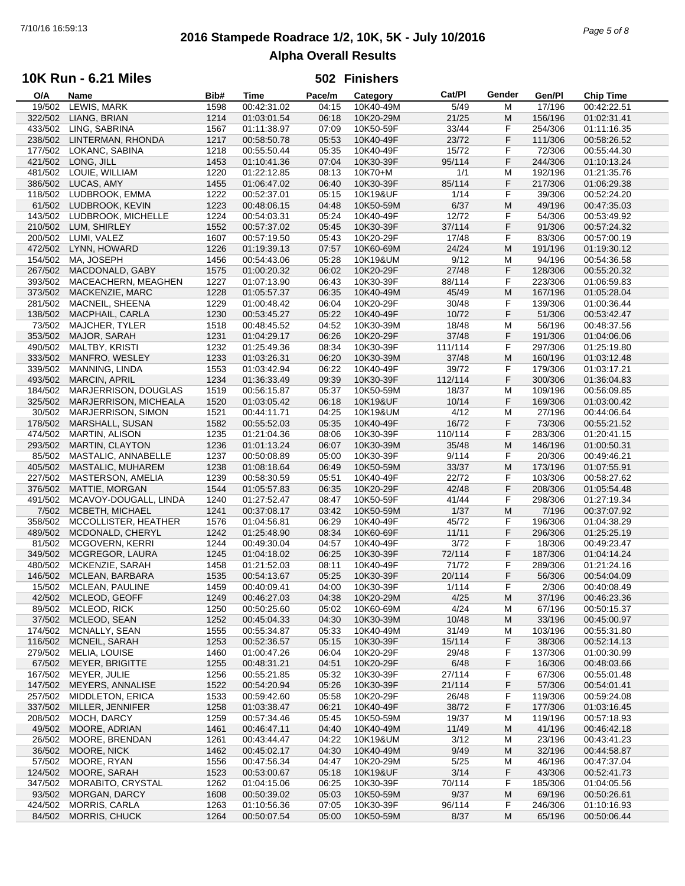# **2016 Stampede Roadrace 1/2, 10K, 5K - July 10/2016** 7/10/16 16:59:13 *Page 5 of 8* **Alpha Overall Results**

## **10K Run - 6.21 Miles**

| O/A     | Name                      | Bib# | Time        | Pace/m | Category  | Cat/PI  | Gender | Gen/Pl  | <b>Chip Time</b> |
|---------|---------------------------|------|-------------|--------|-----------|---------|--------|---------|------------------|
| 19/502  | LEWIS, MARK               | 1598 | 00:42:31.02 | 04:15  | 10K40-49M | 5/49    | M      | 17/196  | 00:42:22.51      |
| 322/502 | LIANG, BRIAN              | 1214 | 01:03:01.54 | 06:18  | 10K20-29M | 21/25   | M      | 156/196 | 01:02:31.41      |
| 433/502 | LING, SABRINA             | 1567 | 01:11:38.97 | 07:09  | 10K50-59F | 33/44   | F      | 254/306 | 01:11:16.35      |
| 238/502 | LINTERMAN, RHONDA         | 1217 | 00:58:50.78 | 05:53  | 10K40-49F | 23/72   | F      | 111/306 | 00:58:26.52      |
|         | LOKANC, SABINA            |      |             | 05:35  | 10K40-49F |         | F      |         |                  |
| 177/502 |                           | 1218 | 00:55:50.44 |        |           | 15/72   |        | 72/306  | 00:55:44.30      |
| 421/502 | LONG, JILL                | 1453 | 01:10:41.36 | 07:04  | 10K30-39F | 95/114  | F      | 244/306 | 01:10:13.24      |
| 481/502 | LOUIE, WILLIAM            | 1220 | 01:22:12.85 | 08:13  | 10K70+M   | 1/1     | M      | 192/196 | 01:21:35.76      |
| 386/502 | LUCAS, AMY                | 1455 | 01:06:47.02 | 06:40  | 10K30-39F | 85/114  | F      | 217/306 | 01:06:29.38      |
| 118/502 | LUDBROOK, EMMA            | 1222 | 00:52:37.01 | 05:15  | 10K19&UF  | 1/14    | F      | 39/306  | 00:52:24.20      |
| 61/502  | LUDBROOK, KEVIN           | 1223 | 00:48:06.15 | 04:48  | 10K50-59M | 6/37    | M      | 49/196  | 00:47:35.03      |
| 143/502 | LUDBROOK, MICHELLE        | 1224 | 00:54:03.31 | 05:24  | 10K40-49F | 12/72   | F      | 54/306  | 00:53:49.92      |
| 210/502 | LUM, SHIRLEY              | 1552 | 00:57:37.02 | 05:45  | 10K30-39F | 37/114  | F      | 91/306  | 00:57:24.32      |
|         |                           |      |             |        |           |         |        |         |                  |
| 200/502 | LUMI, VALEZ               | 1607 | 00:57:19.50 | 05:43  | 10K20-29F | 17/48   | F      | 83/306  | 00:57:00.19      |
| 472/502 | LYNN, HOWARD              | 1226 | 01:19:39.13 | 07:57  | 10K60-69M | 24/24   | M      | 191/196 | 01:19:30.12      |
| 154/502 | MA, JOSEPH                | 1456 | 00:54:43.06 | 05:28  | 10K19&UM  | 9/12    | M      | 94/196  | 00:54:36.58      |
| 267/502 | MACDONALD, GABY           | 1575 | 01:00:20.32 | 06:02  | 10K20-29F | 27/48   | F      | 128/306 | 00:55:20.32      |
| 393/502 | MACEACHERN, MEAGHEN       | 1227 | 01:07:13.90 | 06:43  | 10K30-39F | 88/114  | F      | 223/306 | 01:06:59.83      |
| 373/502 | MACKENZIE, MARC           | 1228 | 01:05:57.37 | 06:35  | 10K40-49M | 45/49   | M      | 167/196 | 01:05:28.04      |
| 281/502 | MACNEIL, SHEENA           | 1229 | 01:00:48.42 | 06:04  | 10K20-29F | 30/48   | F      | 139/306 | 01:00:36.44      |
|         |                           |      |             |        |           |         | F      |         |                  |
| 138/502 | MACPHAIL, CARLA           | 1230 | 00:53:45.27 | 05:22  | 10K40-49F | 10/72   |        | 51/306  | 00:53:42.47      |
| 73/502  | <b>MAJCHER, TYLER</b>     | 1518 | 00:48:45.52 | 04:52  | 10K30-39M | 18/48   | M      | 56/196  | 00:48:37.56      |
| 353/502 | MAJOR, SARAH              | 1231 | 01:04:29.17 | 06:26  | 10K20-29F | 37/48   | F      | 191/306 | 01:04:06.06      |
| 490/502 | MALTBY, KRISTI            | 1232 | 01:25:49.36 | 08:34  | 10K30-39F | 111/114 | F      | 297/306 | 01:25:19.80      |
| 333/502 | MANFRO, WESLEY            | 1233 | 01:03:26.31 | 06:20  | 10K30-39M | 37/48   | M      | 160/196 | 01:03:12.48      |
| 339/502 | MANNING, LINDA            | 1553 | 01:03:42.94 | 06:22  | 10K40-49F | 39/72   | F      | 179/306 | 01:03:17.21      |
| 493/502 | <b>MARCIN, APRIL</b>      | 1234 | 01:36:33.49 | 09:39  | 10K30-39F | 112/114 | F      | 300/306 | 01:36:04.83      |
|         | MARJERRISON, DOUGLAS      |      |             |        |           |         |        |         |                  |
| 184/502 |                           | 1519 | 00:56:15.87 | 05:37  | 10K50-59M | 18/37   | M      | 109/196 | 00:56:09.85      |
| 325/502 | MARJERRISON, MICHEALA     | 1520 | 01:03:05.42 | 06:18  | 10K19&UF  | 10/14   | F      | 169/306 | 01:03:00.42      |
| 30/502  | <b>MARJERRISON, SIMON</b> | 1521 | 00:44:11.71 | 04:25  | 10K19&UM  | 4/12    | M      | 27/196  | 00:44:06.64      |
| 178/502 | MARSHALL, SUSAN           | 1582 | 00:55:52.03 | 05:35  | 10K40-49F | 16/72   | F      | 73/306  | 00:55:21.52      |
| 474/502 | <b>MARTIN, ALISON</b>     | 1235 | 01:21:04.36 | 08:06  | 10K30-39F | 110/114 | F      | 283/306 | 01:20:41.15      |
| 293/502 | MARTIN, CLAYTON           | 1236 | 01:01:13.24 | 06:07  | 10K30-39M | 35/48   | M      | 146/196 | 01:00:50.31      |
| 85/502  | MASTALIC, ANNABELLE       | 1237 | 00:50:08.89 | 05:00  | 10K30-39F | 9/114   | F      | 20/306  | 00:49:46.21      |
| 405/502 | MASTALIC, MUHAREM         | 1238 | 01:08:18.64 | 06:49  | 10K50-59M | 33/37   | M      | 173/196 | 01:07:55.91      |
|         |                           |      |             |        |           |         |        |         |                  |
| 227/502 | MASTERSON, AMELIA         | 1239 | 00:58:30.59 | 05:51  | 10K40-49F | 22/72   | F      | 103/306 | 00:58:27.62      |
| 376/502 | <b>MATTIE, MORGAN</b>     | 1544 | 01:05:57.83 | 06:35  | 10K20-29F | 42/48   | F      | 208/306 | 01:05:54.48      |
| 491/502 | MCAVOY-DOUGALL, LINDA     | 1240 | 01:27:52.47 | 08:47  | 10K50-59F | 41/44   | F      | 298/306 | 01:27:19.34      |
| 7/502   | MCBETH, MICHAEL           | 1241 | 00:37:08.17 | 03:42  | 10K50-59M | 1/37    | M      | 7/196   | 00:37:07.92      |
| 358/502 | MCCOLLISTER, HEATHER      | 1576 | 01:04:56.81 | 06:29  | 10K40-49F | 45/72   | F      | 196/306 | 01:04:38.29      |
| 489/502 | MCDONALD, CHERYL          | 1242 | 01:25:48.90 | 08:34  | 10K60-69F | 11/11   | F      | 296/306 | 01:25:25.19      |
| 81/502  | MCGOVERN, KERRI           | 1244 | 00:49:30.04 | 04:57  | 10K40-49F | 3/72    | F      | 18/306  | 00:49:23.47      |
| 349/502 | MCGREGOR, LAURA           | 1245 | 01:04:18.02 | 06:25  | 10K30-39F | 72/114  | F      | 187/306 | 01:04:14.24      |
|         | MCKENZIE, SARAH           |      |             |        |           |         | F      |         | 01:21:24.16      |
| 480/502 |                           | 1458 | 01:21:52.03 | 08:11  | 10K40-49F | 71/72   |        | 289/306 |                  |
| 146/502 | MCLEAN, BARBARA           | 1535 | 00:54:13.67 | 05:25  | 10K30-39F | 20/114  | F      | 56/306  | 00:54:04.09      |
| 15/502  | MCLEAN, PAULINE           | 1459 | 00:40:09.41 | 04:00  | 10K30-39F | 1/114   | F      | 2/306   | 00:40:08.49      |
| 42/502  | MCLEOD, GEOFF             | 1249 | 00:46:27.03 | 04:38  | 10K20-29M | 4/25    | M      | 37/196  | 00:46:23.36      |
| 89/502  | MCLEOD, RICK              | 1250 | 00:50:25.60 | 05:02  | 10K60-69M | 4/24    | M      | 67/196  | 00:50:15.37      |
| 37/502  | MCLEOD, SEAN              | 1252 | 00:45:04.33 | 04:30  | 10K30-39M | 10/48   | M      | 33/196  | 00:45:00.97      |
| 174/502 | MCNALLY, SEAN             | 1555 | 00:55:34.87 | 05:33  | 10K40-49M | 31/49   | M      | 103/196 | 00:55:31.80      |
| 116/502 | MCNEIL, SARAH             | 1253 | 00:52:36.57 | 05:15  | 10K30-39F | 15/114  | F      | 38/306  | 00:52:14.13      |
|         |                           |      |             |        |           |         |        |         |                  |
| 279/502 | MELIA, LOUISE             | 1460 | 01:00:47.26 | 06:04  | 10K20-29F | 29/48   | F      | 137/306 | 01:00:30.99      |
| 67/502  | MEYER, BRIGITTE           | 1255 | 00:48:31.21 | 04:51  | 10K20-29F | 6/48    | F      | 16/306  | 00:48:03.66      |
| 167/502 | MEYER, JULIE              | 1256 | 00:55:21.85 | 05:32  | 10K30-39F | 27/114  | F      | 67/306  | 00:55:01.48      |
| 147/502 | <b>MEYERS, ANNALISE</b>   | 1522 | 00:54:20.94 | 05:26  | 10K30-39F | 21/114  | F      | 57/306  | 00:54:01.41      |
| 257/502 | <b>MIDDLETON, ERICA</b>   | 1533 | 00:59:42.60 | 05:58  | 10K20-29F | 26/48   | F      | 119/306 | 00:59:24.08      |
| 337/502 | MILLER, JENNIFER          | 1258 | 01:03:38.47 | 06:21  | 10K40-49F | 38/72   | F      | 177/306 | 01:03:16.45      |
| 208/502 | MOCH, DARCY               | 1259 | 00:57:34.46 | 05:45  | 10K50-59M | 19/37   | M      | 119/196 | 00:57:18.93      |
| 49/502  | MOORE, ADRIAN             | 1461 | 00:46:47.11 | 04:40  | 10K40-49M | 11/49   | M      | 41/196  | 00:46:42.18      |
|         |                           |      |             |        |           |         |        |         |                  |
| 26/502  | MOORE, BRENDAN            | 1261 | 00:43:44.47 | 04:22  | 10K19&UM  | 3/12    | M      | 23/196  | 00:43:41.23      |
| 36/502  | MOORE, NICK               | 1462 | 00:45:02.17 | 04:30  | 10K40-49M | 9/49    | M      | 32/196  | 00:44:58.87      |
| 57/502  | MOORE, RYAN               | 1556 | 00:47:56.34 | 04:47  | 10K20-29M | 5/25    | M      | 46/196  | 00:47:37.04      |
| 124/502 | MOORE, SARAH              | 1523 | 00:53:00.67 | 05:18  | 10K19&UF  | 3/14    | F      | 43/306  | 00:52:41.73      |
| 347/502 | MORABITO, CRYSTAL         | 1262 | 01:04:15.06 | 06:25  | 10K30-39F | 70/114  | F      | 185/306 | 01:04:05.56      |
| 93/502  | MORGAN, DARCY             | 1608 | 00:50:39.02 | 05:03  | 10K50-59M | 9/37    | M      | 69/196  | 00:50:26.61      |
| 424/502 | <b>MORRIS, CARLA</b>      | 1263 | 01:10:56.36 | 07:05  | 10K30-39F | 96/114  | F      | 246/306 | 01:10:16.93      |
| 84/502  | MORRIS, CHUCK             | 1264 | 00:50:07.54 | 05:00  | 10K50-59M | 8/37    | M      | 65/196  | 00:50:06.44      |
|         |                           |      |             |        |           |         |        |         |                  |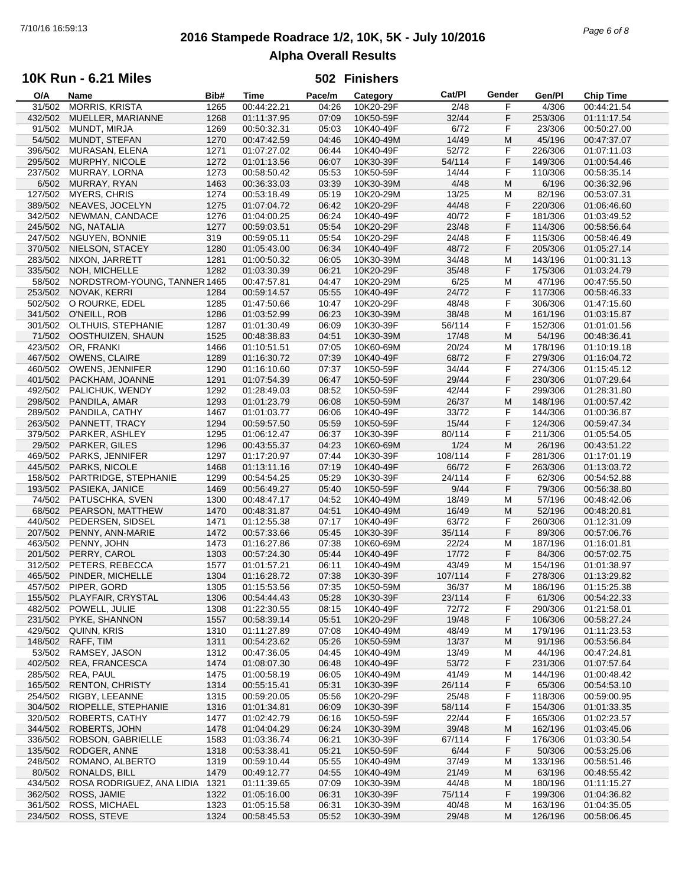# **2016 Stampede Roadrace 1/2, 10K, 5K - July 10/2016** 7/10/16 16:59:13 *Page 6 of 8* **Alpha Overall Results**

## **10K Run - 6.21 Miles**

| O/A     | Name                         | Bib# | Time        | Pace/m | Category  | Cat/Pl  | Gender | Gen/Pl  | <b>Chip Time</b> |
|---------|------------------------------|------|-------------|--------|-----------|---------|--------|---------|------------------|
| 31/502  | <b>MORRIS, KRISTA</b>        | 1265 | 00:44:22.21 | 04:26  | 10K20-29F | 2/48    | F      | 4/306   | 00:44:21.54      |
| 432/502 | MUELLER, MARIANNE            | 1268 | 01:11:37.95 | 07:09  | 10K50-59F | 32/44   | F      | 253/306 | 01:11:17.54      |
|         |                              |      |             |        | 10K40-49F | 6/72    |        |         |                  |
| 91/502  | MUNDT, MIRJA                 | 1269 | 00:50:32.31 | 05:03  |           |         | F      | 23/306  | 00:50:27.00      |
| 54/502  | MUNDT, STEFAN                | 1270 | 00:47:42.59 | 04:46  | 10K40-49M | 14/49   | M      | 45/196  | 00:47:37.07      |
| 396/502 | MURASAN, ELENA               | 1271 | 01:07:27.02 | 06:44  | 10K40-49F | 52/72   | F      | 226/306 | 01:07:11.03      |
| 295/502 | MURPHY, NICOLE               | 1272 | 01:01:13.56 | 06:07  | 10K30-39F | 54/114  | F      | 149/306 | 01:00:54.46      |
| 237/502 | MURRAY, LORNA                | 1273 | 00:58:50.42 | 05:53  | 10K50-59F | 14/44   | F      | 110/306 | 00:58:35.14      |
| 6/502   | MURRAY, RYAN                 | 1463 | 00:36:33.03 | 03:39  | 10K30-39M | 4/48    | M      | 6/196   | 00:36:32.96      |
|         |                              |      |             |        |           |         |        |         |                  |
| 127/502 | <b>MYERS, CHRIS</b>          | 1274 | 00:53:18.49 | 05:19  | 10K20-29M | 13/25   | M      | 82/196  | 00:53:07.31      |
| 389/502 | NEAVES, JOCELYN              | 1275 | 01:07:04.72 | 06:42  | 10K20-29F | 44/48   | F      | 220/306 | 01:06:46.60      |
| 342/502 | NEWMAN, CANDACE              | 1276 | 01:04:00.25 | 06:24  | 10K40-49F | 40/72   | F      | 181/306 | 01:03:49.52      |
| 245/502 | NG, NATALIA                  | 1277 | 00:59:03.51 | 05:54  | 10K20-29F | 23/48   | F      | 114/306 | 00:58:56.64      |
| 247/502 | NGUYEN, BONNIE               | 319  | 00:59:05.11 | 05:54  | 10K20-29F | 24/48   | F      | 115/306 | 00:58:46.49      |
| 370/502 | NIELSON, STACEY              | 1280 | 01:05:43.00 | 06:34  | 10K40-49F | 48/72   | F      | 205/306 | 01:05:27.14      |
| 283/502 | NIXON, JARRETT               | 1281 | 01:00:50.32 | 06:05  | 10K30-39M | 34/48   | M      | 143/196 | 01:00:31.13      |
|         |                              | 1282 |             | 06:21  |           |         | F      |         |                  |
| 335/502 | NOH, MICHELLE                |      | 01:03:30.39 |        | 10K20-29F | 35/48   |        | 175/306 | 01:03:24.79      |
| 58/502  | NORDSTROM-YOUNG, TANNER 1465 |      | 00:47:57.81 | 04:47  | 10K20-29M | 6/25    | M      | 47/196  | 00:47:55.50      |
| 253/502 | NOVAK, KERRI                 | 1284 | 00:59:14.57 | 05:55  | 10K40-49F | 24/72   | F      | 117/306 | 00:58:46.33      |
| 502/502 | O ROURKE, EDEL               | 1285 | 01:47:50.66 | 10:47  | 10K20-29F | 48/48   | F      | 306/306 | 01:47:15.60      |
| 341/502 | O'NEILL, ROB                 | 1286 | 01:03:52.99 | 06:23  | 10K30-39M | 38/48   | M      | 161/196 | 01:03:15.87      |
| 301/502 | OLTHUIS, STEPHANIE           | 1287 | 01:01:30.49 | 06:09  | 10K30-39F | 56/114  | F      | 152/306 | 01:01:01.56      |
| 71/502  | OOSTHUIZEN, SHAUN            | 1525 | 00:48:38.83 | 04:51  | 10K30-39M | 17/48   | M      | 54/196  | 00:48:36.41      |
|         |                              |      |             |        |           |         |        |         |                  |
| 423/502 | OR, FRANKI                   | 1466 | 01:10:51.51 | 07:05  | 10K60-69M | 20/24   | M      | 178/196 | 01:10:19.18      |
| 467/502 | OWENS, CLAIRE                | 1289 | 01:16:30.72 | 07:39  | 10K40-49F | 68/72   | F      | 279/306 | 01:16:04.72      |
| 460/502 | <b>OWENS, JENNIFER</b>       | 1290 | 01:16:10.60 | 07:37  | 10K50-59F | 34/44   | F      | 274/306 | 01:15:45.12      |
| 401/502 | PACKHAM, JOANNE              | 1291 | 01:07:54.39 | 06:47  | 10K50-59F | 29/44   | F      | 230/306 | 01:07:29.64      |
| 492/502 | PALICHUK, WENDY              | 1292 | 01:28:49.03 | 08:52  | 10K50-59F | 42/44   | F      | 299/306 | 01:28:31.80      |
| 298/502 | PANDILA, AMAR                | 1293 | 01:01:23.79 | 06:08  | 10K50-59M | 26/37   | M      | 148/196 | 01:00:57.42      |
| 289/502 | PANDILA, CATHY               | 1467 | 01:01:03.77 | 06:06  | 10K40-49F | 33/72   | F      | 144/306 | 01:00:36.87      |
|         |                              |      |             |        |           |         |        |         |                  |
| 263/502 | PANNETT, TRACY               | 1294 | 00:59:57.50 | 05:59  | 10K50-59F | 15/44   | F      | 124/306 | 00:59:47.34      |
| 379/502 | PARKER, ASHLEY               | 1295 | 01:06:12.47 | 06:37  | 10K30-39F | 80/114  | F      | 211/306 | 01:05:54.05      |
| 29/502  | PARKER, GILES                | 1296 | 00:43:55.37 | 04:23  | 10K60-69M | 1/24    | M      | 26/196  | 00:43:51.22      |
| 469/502 | PARKS, JENNIFER              | 1297 | 01:17:20.97 | 07:44  | 10K30-39F | 108/114 | F      | 281/306 | 01:17:01.19      |
| 445/502 | PARKS, NICOLE                | 1468 | 01:13:11.16 | 07:19  | 10K40-49F | 66/72   | F      | 263/306 | 01:13:03.72      |
| 158/502 | PARTRIDGE, STEPHANIE         | 1299 | 00:54:54.25 | 05:29  | 10K30-39F | 24/114  | F      | 62/306  | 00:54:52.88      |
|         |                              |      |             |        |           | 9/44    | F      |         |                  |
| 193/502 | PASIEKA, JANICE              | 1469 | 00:56:49.27 | 05:40  | 10K50-59F |         |        | 79/306  | 00:56:38.80      |
| 74/502  | PATUSCHKA, SVEN              | 1300 | 00:48:47.17 | 04:52  | 10K40-49M | 18/49   | М      | 57/196  | 00:48:42.06      |
| 68/502  | PEARSON, MATTHEW             | 1470 | 00:48:31.87 | 04:51  | 10K40-49M | 16/49   | M      | 52/196  | 00:48:20.81      |
| 440/502 | PEDERSEN, SIDSEL             | 1471 | 01:12:55.38 | 07:17  | 10K40-49F | 63/72   | F      | 260/306 | 01:12:31.09      |
| 207/502 | PENNY, ANN-MARIE             | 1472 | 00:57:33.66 | 05:45  | 10K30-39F | 35/114  | F      | 89/306  | 00:57:06.76      |
| 463/502 | PENNY, JOHN                  | 1473 | 01:16:27.86 | 07:38  | 10K60-69M | 22/24   | M      | 187/196 | 01:16:01.81      |
| 201/502 | PERRY, CAROL                 | 1303 | 00:57:24.30 | 05:44  | 10K40-49F | 17/72   | F      | 84/306  | 00:57:02.75      |
| 312/502 | PETERS, REBECCA              | 1577 | 01:01:57.21 | 06:11  | 10K40-49M | 43/49   | M      | 154/196 | 01:01:38.97      |
|         |                              |      |             |        |           |         |        |         |                  |
| 465/502 | PINDER, MICHELLE             | 1304 | 01:16:28.72 | 07:38  | 10K30-39F | 107/114 | F      | 278/306 | 01:13:29.82      |
| 457/502 | PIPER, GORD                  | 1305 | 01:15:53.56 | 07:35  | 10K50-59M | 36/37   | M      | 186/196 | 01:15:25.38      |
| 155/502 | PLAYFAIR, CRYSTAL            | 1306 | 00:54:44.43 | 05:28  | 10K30-39F | 23/114  | F      | 61/306  | 00:54:22.33      |
| 482/502 | POWELL, JULIE                | 1308 | 01:22:30.55 | 08:15  | 10K40-49F | 72/72   | F      | 290/306 | 01:21:58.01      |
| 231/502 | PYKE, SHANNON                | 1557 | 00:58:39.14 | 05:51  | 10K20-29F | 19/48   | F      | 106/306 | 00:58:27.24      |
| 429/502 | QUINN, KRIS                  | 1310 | 01:11:27.89 | 07:08  | 10K40-49M | 48/49   | M      | 179/196 | 01:11:23.53      |
| 148/502 | RAFF, TIM                    | 1311 | 00:54:23.62 | 05:26  | 10K50-59M | 13/37   | M      | 91/196  | 00:53:56.84      |
|         |                              |      |             |        |           |         |        |         |                  |
| 53/502  | RAMSEY, JASON                | 1312 | 00:47:36.05 | 04:45  | 10K40-49M | 13/49   | м      | 44/196  | 00:47:24.81      |
| 402/502 | REA, FRANCESCA               | 1474 | 01:08:07.30 | 06:48  | 10K40-49F | 53/72   | F      | 231/306 | 01:07:57.64      |
| 285/502 | REA, PAUL                    | 1475 | 01:00:58.19 | 06:05  | 10K40-49M | 41/49   | м      | 144/196 | 01:00:48.42      |
| 165/502 | <b>RENTON, CHRISTY</b>       | 1314 | 00:55:15.41 | 05:31  | 10K30-39F | 26/114  | F      | 65/306  | 00:54:53.10      |
| 254/502 | RIGBY, LEEANNE               | 1315 | 00:59:20.05 | 05:56  | 10K20-29F | 25/48   | F      | 118/306 | 00:59:00.95      |
| 304/502 | RIOPELLE, STEPHANIE          | 1316 | 01:01:34.81 | 06:09  | 10K30-39F | 58/114  | F      | 154/306 | 01:01:33.35      |
| 320/502 | <b>ROBERTS, CATHY</b>        |      | 01:02:42.79 | 06:16  | 10K50-59F | 22/44   | F      | 165/306 |                  |
|         |                              | 1477 |             |        |           |         |        |         | 01:02:23.57      |
| 344/502 | ROBERTS, JOHN                | 1478 | 01:04:04.29 | 06:24  | 10K30-39M | 39/48   | M      | 162/196 | 01:03:45.06      |
| 336/502 | ROBSON, GABRIELLE            | 1583 | 01:03:36.74 | 06:21  | 10K30-39F | 67/114  | F      | 176/306 | 01:03:30.54      |
| 135/502 | RODGER, ANNE                 | 1318 | 00:53:38.41 | 05:21  | 10K50-59F | 6/44    | F      | 50/306  | 00:53:25.06      |
| 248/502 | ROMANO, ALBERTO              | 1319 | 00:59:10.44 | 05:55  | 10K40-49M | 37/49   | M      | 133/196 | 00:58:51.46      |
| 80/502  | RONALDS, BILL                | 1479 | 00:49:12.77 | 04:55  | 10K40-49M | 21/49   | M      | 63/196  | 00:48:55.42      |
| 434/502 | ROSA RODRIGUEZ, ANA LIDIA    | 1321 | 01:11:39.65 | 07:09  | 10K30-39M | 44/48   | M      | 180/196 | 01:11:15.27      |
| 362/502 | ROSS, JAMIE                  | 1322 | 01:05:16.00 | 06:31  | 10K30-39F | 75/114  | F      | 199/306 | 01:04:36.82      |
|         |                              |      |             |        |           |         |        |         |                  |
| 361/502 | ROSS, MICHAEL                | 1323 | 01:05:15.58 | 06:31  | 10K30-39M | 40/48   | M      | 163/196 | 01:04:35.05      |
| 234/502 | ROSS, STEVE                  | 1324 | 00:58:45.53 | 05:52  | 10K30-39M | 29/48   | M      | 126/196 | 00:58:06.45      |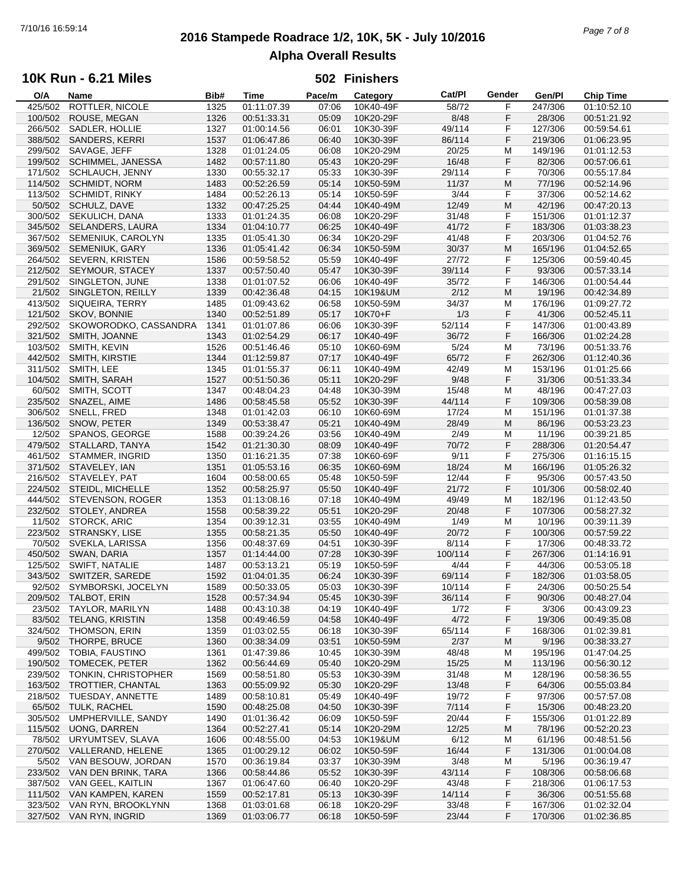# **2016 Stampede Roadrace 1/2, 10K, 5K - July 10/2016** 7/10/16 16:59:14 *Page 7 of 8* **Alpha Overall Results**

## **10K Run - 6.21 Miles**

| O/A     | Name                        | Bib# | Time        | Pace/m | Category  | Cat/PI  | Gender | Gen/Pl  | <b>Chip Time</b> |
|---------|-----------------------------|------|-------------|--------|-----------|---------|--------|---------|------------------|
| 425/502 | ROTTLER, NICOLE             | 1325 | 01:11:07.39 | 07:06  | 10K40-49F | 58/72   | F      | 247/306 | 01:10:52.10      |
| 100/502 | ROUSE, MEGAN                | 1326 | 00:51:33.31 | 05:09  | 10K20-29F | 8/48    | F      | 28/306  | 00:51:21.92      |
| 266/502 | SADLER, HOLLIE              | 1327 | 01:00:14.56 | 06:01  | 10K30-39F | 49/114  | F      | 127/306 | 00:59:54.61      |
|         |                             |      |             |        |           |         |        |         |                  |
| 388/502 | SANDERS, KERRI              | 1537 | 01:06:47.86 | 06:40  | 10K30-39F | 86/114  | F      | 219/306 | 01:06:23.95      |
| 299/502 | SAVAGE, JEFF                | 1328 | 01:01:24.05 | 06:08  | 10K20-29M | 20/25   | M      | 149/196 | 01:01:12.53      |
| 199/502 | SCHIMMEL, JANESSA           | 1482 | 00:57:11.80 | 05:43  | 10K20-29F | 16/48   | F      | 82/306  | 00:57:06.61      |
| 171/502 | SCHLAUCH, JENNY             | 1330 | 00:55:32.17 | 05:33  | 10K30-39F | 29/114  | F      | 70/306  | 00:55:17.84      |
| 114/502 | <b>SCHMIDT, NORM</b>        | 1483 | 00:52:26.59 | 05:14  | 10K50-59M | 11/37   | M      | 77/196  | 00:52:14.96      |
|         |                             |      |             |        |           | 3/44    | F      |         |                  |
| 113/502 | <b>SCHMIDT, RINKY</b>       | 1484 | 00:52:26.13 | 05:14  | 10K50-59F |         |        | 37/306  | 00:52:14.62      |
|         | 50/502 SCHULZ, DAVE         | 1332 | 00:47:25.25 | 04:44  | 10K40-49M | 12/49   | M      | 42/196  | 00:47:20.13      |
| 300/502 | SEKULICH, DANA              | 1333 | 01:01:24.35 | 06:08  | 10K20-29F | 31/48   | F      | 151/306 | 01:01:12.37      |
| 345/502 | <b>SELANDERS, LAURA</b>     | 1334 | 01:04:10.77 | 06:25  | 10K40-49F | 41/72   | F      | 183/306 | 01:03:38.23      |
| 367/502 | SEMENIUK, CAROLYN           | 1335 | 01:05:41.30 | 06:34  | 10K20-29F | 41/48   | F      | 203/306 | 01:04:52.76      |
| 369/502 | <b>SEMENIUK, GARY</b>       | 1336 | 01:05:41.42 | 06:34  | 10K50-59M | 30/37   | M      | 165/196 | 01:04:52.65      |
|         |                             |      |             |        |           |         |        |         |                  |
| 264/502 | SEVERN, KRISTEN             | 1586 | 00:59:58.52 | 05:59  | 10K40-49F | 27/72   | F      | 125/306 | 00:59:40.45      |
| 212/502 | SEYMOUR, STACEY             | 1337 | 00:57:50.40 | 05:47  | 10K30-39F | 39/114  | F      | 93/306  | 00:57:33.14      |
| 291/502 | SINGLETON, JUNE             | 1338 | 01:01:07.52 | 06:06  | 10K40-49F | 35/72   | F      | 146/306 | 01:00:54.44      |
| 21/502  | SINGLETON, REILLY           | 1339 | 00:42:36.48 | 04:15  | 10K19&UM  | 2/12    | M      | 19/196  | 00:42:34.89      |
| 413/502 | SIQUEIRA, TERRY             | 1485 | 01:09:43.62 | 06:58  | 10K50-59M | 34/37   | M      | 176/196 | 01:09:27.72      |
| 121/502 | SKOV, BONNIE                | 1340 | 00:52:51.89 | 05:17  | 10K70+F   | 1/3     | F      | 41/306  | 00:52:45.11      |
|         |                             |      |             |        |           |         |        |         |                  |
| 292/502 | SKOWORODKO, CASSANDRA       | 1341 | 01:01:07.86 | 06:06  | 10K30-39F | 52/114  | F      | 147/306 | 01:00:43.89      |
| 321/502 | SMITH, JOANNE               | 1343 | 01:02:54.29 | 06:17  | 10K40-49F | 36/72   | F      | 166/306 | 01:02:24.28      |
| 103/502 | SMITH, KEVIN                | 1526 | 00:51:46.46 | 05:10  | 10K60-69M | 5/24    | M      | 73/196  | 00:51:33.76      |
| 442/502 | SMITH, KIRSTIE              | 1344 | 01:12:59.87 | 07:17  | 10K40-49F | 65/72   | F      | 262/306 | 01:12:40.36      |
| 311/502 | SMITH, LEE                  | 1345 | 01:01:55.37 | 06:11  | 10K40-49M | 42/49   | M      | 153/196 | 01:01:25.66      |
|         |                             |      |             |        |           |         |        |         |                  |
| 104/502 | SMITH, SARAH                | 1527 | 00:51:50.36 | 05:11  | 10K20-29F | 9/48    | F      | 31/306  | 00:51:33.34      |
| 60/502  | SMITH, SCOTT                | 1347 | 00:48:04.23 | 04:48  | 10K30-39M | 15/48   | M      | 48/196  | 00:47:27.03      |
| 235/502 | SNAZEL, AIME                | 1486 | 00:58:45.58 | 05:52  | 10K30-39F | 44/114  | F      | 109/306 | 00:58:39.08      |
| 306/502 | SNELL, FRED                 | 1348 | 01:01:42.03 | 06:10  | 10K60-69M | 17/24   | M      | 151/196 | 01:01:37.38      |
| 136/502 | SNOW, PETER                 | 1349 | 00:53:38.47 | 05:21  | 10K40-49M | 28/49   | M      | 86/196  | 00:53:23.23      |
| 12/502  | SPANOS, GEORGE              | 1588 | 00:39:24.26 | 03:56  | 10K40-49M | 2/49    | M      | 11/196  | 00:39:21.85      |
|         |                             |      |             |        |           |         |        |         |                  |
| 479/502 | STALLARD, TANYA             | 1542 | 01:21:30.30 | 08:09  | 10K40-49F | 70/72   | F      | 288/306 | 01:20:54.47      |
|         | 461/502 STAMMER, INGRID     | 1350 | 01:16:21.35 | 07:38  | 10K60-69F | 9/11    | F      | 275/306 | 01:16:15.15      |
| 371/502 | STAVELEY, IAN               | 1351 | 01:05:53.16 | 06:35  | 10K60-69M | 18/24   | M      | 166/196 | 01:05:26.32      |
| 216/502 | STAVELEY, PAT               | 1604 | 00:58:00.65 | 05:48  | 10K50-59F | 12/44   | F      | 95/306  | 00:57:43.50      |
| 224/502 | <b>STEIDL, MICHELLE</b>     | 1352 | 00:58:25.97 | 05:50  | 10K40-49F | 21/72   | F      | 101/306 | 00:58:02.40      |
| 444/502 | STEVENSON, ROGER            | 1353 | 01:13:08.16 | 07:18  | 10K40-49M | 49/49   | M      | 182/196 | 01:12:43.50      |
|         |                             |      |             |        |           |         |        |         |                  |
| 232/502 | STOLEY, ANDREA              | 1558 | 00:58:39.22 | 05:51  | 10K20-29F | 20/48   | F      | 107/306 | 00:58:27.32      |
| 11/502  | <b>STORCK, ARIC</b>         | 1354 | 00:39:12.31 | 03:55  | 10K40-49M | 1/49    | M      | 10/196  | 00:39:11.39      |
| 223/502 | STRANSKY, LISE              | 1355 | 00:58:21.35 | 05:50  | 10K40-49F | 20/72   | F      | 100/306 | 00:57:59.22      |
| 70/502  | SVEKLA, LARISSA             | 1356 | 00:48:37.69 | 04:51  | 10K30-39F | 8/114   | F      | 17/306  | 00:48:33.72      |
| 450/502 | SWAN, DARIA                 | 1357 | 01:14:44.00 | 07:28  | 10K30-39F | 100/114 | F      | 267/306 | 01:14:16.91      |
| 125/502 |                             |      | 00:53:13.21 | 05:19  | 10K50-59F |         | F      |         |                  |
|         | SWIFT, NATALIE              | 1487 |             |        |           | 4/44    |        | 44/306  | 00:53:05.18      |
| 343/502 | SWITZER, SAREDE             | 1592 | 01:04:01.35 | 06:24  | 10K30-39F | 69/114  | F      | 182/306 | 01:03:58.05      |
|         | 92/502 SYMBORSKI, JOCELYN   | 1589 | 00:50:33.05 | 05:03  | 10K30-39F | 10/114  | F      | 24/306  | 00:50:25.54      |
|         | 209/502 TALBOT, ERIN        | 1528 | 00:57:34.94 | 05:45  | 10K30-39F | 36/114  | F      | 90/306  | 00:48:27.04      |
| 23/502  | <b>TAYLOR, MARILYN</b>      | 1488 | 00:43:10.38 | 04:19  | 10K40-49F | 1/72    | F      | 3/306   | 00:43:09.23      |
| 83/502  | <b>TELANG, KRISTIN</b>      | 1358 | 00:49:46.59 | 04:58  | 10K40-49F | 4/72    | F      | 19/306  | 00:49:35.08      |
|         | THOMSON, ERIN               |      | 01:03:02.55 |        |           |         |        |         |                  |
| 324/502 |                             | 1359 |             | 06:18  | 10K30-39F | 65/114  | F      | 168/306 | 01:02:39.81      |
|         | 9/502 THORPE, BRUCE         | 1360 | 00:38:34.09 | 03:51  | 10K50-59M | 2/37    | M      | 9/196   | 00:38:33.27      |
| 499/502 | TOBIA, FAUSTINO             | 1361 | 01:47:39.86 | 10:45  | 10K30-39M | 48/48   | M      | 195/196 | 01:47:04.25      |
| 190/502 | <b>TOMECEK, PETER</b>       | 1362 | 00:56:44.69 | 05:40  | 10K20-29M | 15/25   | M      | 113/196 | 00:56:30.12      |
| 239/502 | TONKIN, CHRISTOPHER         | 1569 | 00:58:51.80 | 05:53  | 10K30-39M | 31/48   | M      | 128/196 | 00:58:36.55      |
|         | 163/502 TROTTIER, CHANTAL   | 1363 | 00:55:09.92 | 05:30  | 10K20-29F | 13/48   | F      | 64/306  | 00:55:03.84      |
|         |                             |      |             |        |           |         |        |         |                  |
| 218/502 | TUESDAY, ANNETTE            | 1489 | 00:58:10.81 | 05:49  | 10K40-49F | 19/72   | F      | 97/306  | 00:57:57.08      |
|         | 65/502 TULK, RACHEL         | 1590 | 00:48:25.08 | 04:50  | 10K30-39F | 7/114   | F      | 15/306  | 00:48:23.20      |
| 305/502 | UMPHERVILLE, SANDY          | 1490 | 01:01:36.42 | 06:09  | 10K50-59F | 20/44   | F      | 155/306 | 01:01:22.89      |
| 115/502 | <b>UONG, DARREN</b>         | 1364 | 00:52:27.41 | 05:14  | 10K20-29M | 12/25   | M      | 78/196  | 00:52:20.23      |
| 78/502  | URYUMTSEV, SLAVA            | 1606 | 00:48:55.00 | 04:53  | 10K19&UM  | 6/12    | M      | 61/196  | 00:48:51.56      |
| 270/502 | VALLERAND, HELENE           | 1365 | 01:00:29.12 | 06:02  | 10K50-59F | 16/44   | F      | 131/306 | 01:00:04.08      |
|         |                             |      |             |        |           |         |        |         |                  |
| 5/502   | VAN BESOUW, JORDAN          | 1570 | 00:36:19.84 | 03:37  | 10K30-39M | 3/48    | M      | 5/196   | 00:36:19.47      |
|         | 233/502 VAN DEN BRINK, TARA | 1366 | 00:58:44.86 | 05:52  | 10K30-39F | 43/114  | F      | 108/306 | 00:58:06.68      |
| 387/502 | VAN GEEL, KAITLIN           | 1367 | 01:06:47.60 | 06:40  | 10K20-29F | 43/48   | F      | 218/306 | 01:06:17.53      |
| 111/502 | VAN KAMPEN, KAREN           | 1559 | 00:52:17.81 | 05:13  | 10K30-39F | 14/114  | F      | 36/306  | 00:51:55.68      |
| 323/502 | VAN RYN, BROOKLYNN          | 1368 | 01:03:01.68 | 06:18  | 10K20-29F | 33/48   | F      | 167/306 | 01:02:32.04      |
|         | 327/502 VAN RYN, INGRID     | 1369 | 01:03:06.77 | 06:18  | 10K50-59F | 23/44   | F      | 170/306 | 01:02:36.85      |
|         |                             |      |             |        |           |         |        |         |                  |